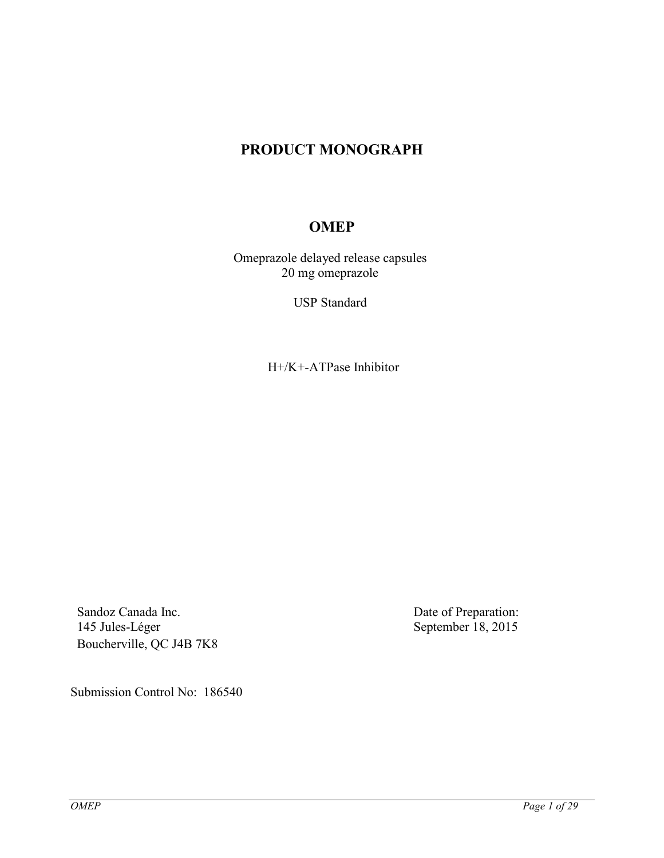# **PRODUCT MONOGRAPH**

# **OMEP**

Omeprazole delayed release capsules 20 mg omeprazole

USP Standard

H+/K+-ATPase Inhibitor

Sandoz Canada Inc. 145 Jules-Léger Boucherville, QC J4B 7K8 Date of Preparation: September 18, 2015

Submission Control No: 186540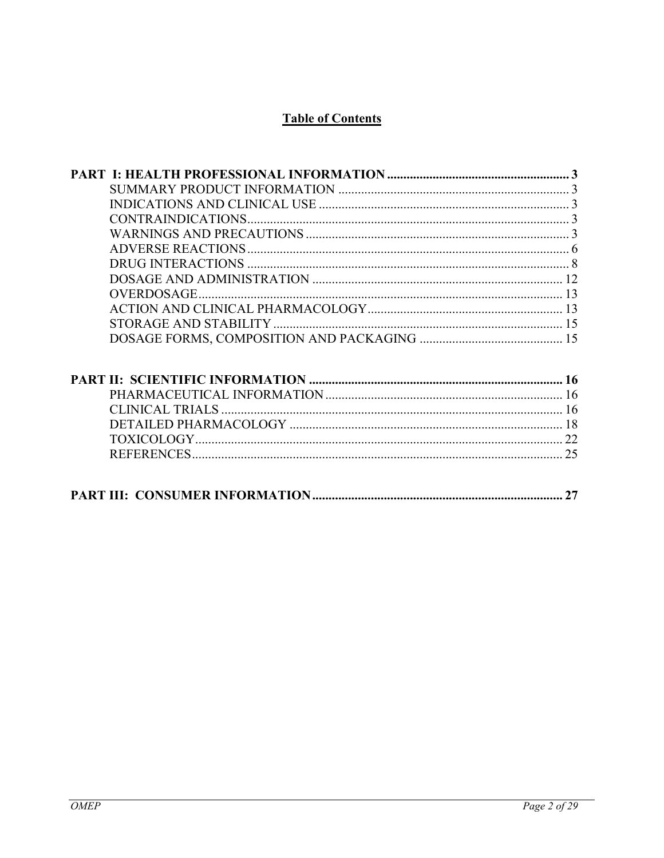# **Table of Contents**

| CONTRAINDICATIONS      |    |
|------------------------|----|
|                        |    |
|                        |    |
|                        |    |
|                        |    |
|                        |    |
|                        |    |
|                        |    |
|                        |    |
|                        |    |
|                        |    |
|                        |    |
| <b>CLINICAL TRIALS</b> |    |
|                        |    |
|                        |    |
|                        |    |
|                        |    |
|                        | 27 |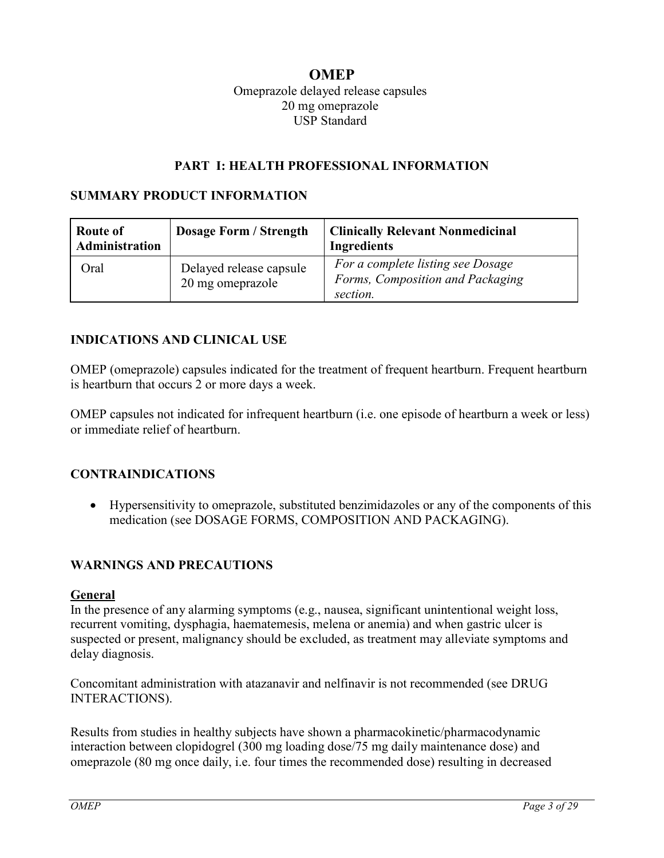## <span id="page-2-0"></span>**OMEP** Omeprazole delayed release capsules 20 mg omeprazole USP Standard

#### <span id="page-2-2"></span><span id="page-2-1"></span>**PART I: HEALTH PROFESSIONAL INFORMATION**

#### **SUMMARY PRODUCT INFORMATION**

| Route of<br>Administration | <b>Dosage Form / Strength</b>               | <b>Clinically Relevant Nonmedicinal</b><br><b>Ingredients</b>                     |
|----------------------------|---------------------------------------------|-----------------------------------------------------------------------------------|
| Oral                       | Delayed release capsule<br>20 mg omeprazole | For a complete listing see Dosage<br>Forms, Composition and Packaging<br>section. |

#### **INDICATIONS AND CLINICAL USE**

OMEP (omeprazole) capsules indicated for the treatment of frequent heartburn. Frequent heartburn is heartburn that occurs 2 or more days a week.

OMEP capsules not indicated for infrequent heartburn (i.e. one episode of heartburn a week or less) or immediate relief of heartburn.

## **CONTRAINDICATIONS**

<span id="page-2-4"></span><span id="page-2-3"></span> Hypersensitivity to omeprazole, substituted benzimidazoles or any of the components of this medication (see DOSAGE FORMS, COMPOSITION AND PACKAGING).

#### **WARNINGS AND PRECAUTIONS**

#### **General**

In the presence of any alarming symptoms (e.g., nausea, significant unintentional weight loss, recurrent vomiting, dysphagia, haematemesis, melena or anemia) and when gastric ulcer is suspected or present, malignancy should be excluded, as treatment may alleviate symptoms and delay diagnosis.

Concomitant administration with atazanavir and nelfinavir is not recommended (see DRUG INTERACTIONS).

Results from studies in healthy subjects have shown a pharmacokinetic/pharmacodynamic interaction between clopidogrel (300 mg loading dose/75 mg daily maintenance dose) and omeprazole (80 mg once daily, i.e. four times the recommended dose) resulting in decreased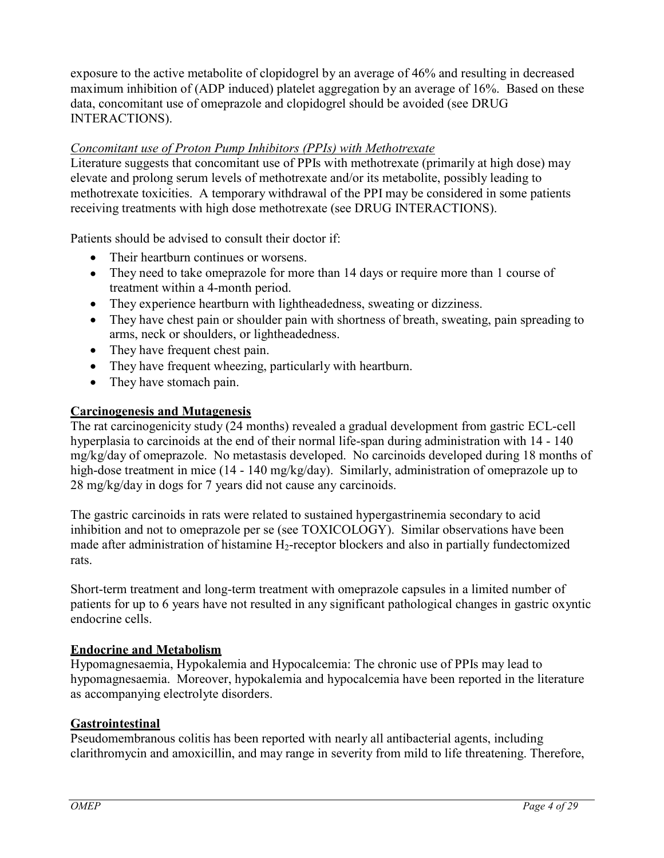exposure to the active metabolite of clopidogrel by an average of 46% and resulting in decreased maximum inhibition of (ADP induced) platelet aggregation by an average of 16%. Based on these data, concomitant use of omeprazole and clopidogrel should be avoided (see DRUG INTERACTIONS).

## *Concomitant use of Proton Pump Inhibitors (PPIs) with Methotrexate*

Literature suggests that concomitant use of PPIs with methotrexate (primarily at high dose) may elevate and prolong serum levels of methotrexate and/or its metabolite, possibly leading to methotrexate toxicities. A temporary withdrawal of the PPI may be considered in some patients receiving treatments with high dose methotrexate (see DRUG INTERACTIONS).

Patients should be advised to consult their doctor if:

- Their heartburn continues or worsens.
- They need to take omeprazole for more than 14 days or require more than 1 course of treatment within a 4-month period.
- They experience heartburn with lightheadedness, sweating or dizziness.
- They have chest pain or shoulder pain with shortness of breath, sweating, pain spreading to arms, neck or shoulders, or lightheadedness.
- They have frequent chest pain.
- They have frequent wheezing, particularly with heartburn.
- They have stomach pain.

## **Carcinogenesis and Mutagenesis**

The rat carcinogenicity study (24 months) revealed a gradual development from gastric ECL-cell hyperplasia to carcinoids at the end of their normal life-span during administration with 14 - 140 mg/kg/day of omeprazole. No metastasis developed. No carcinoids developed during 18 months of high-dose treatment in mice (14 - 140 mg/kg/day). Similarly, administration of omeprazole up to 28 mg/kg/day in dogs for 7 years did not cause any carcinoids.

The gastric carcinoids in rats were related to sustained hypergastrinemia secondary to acid inhibition and not to omeprazole per se (see TOXICOLOGY). Similar observations have been made after administration of histamine  $H_2$ -receptor blockers and also in partially fundectomized rats.

Short-term treatment and long-term treatment with omeprazole capsules in a limited number of patients for up to 6 years have not resulted in any significant pathological changes in gastric oxyntic endocrine cells.

## **Endocrine and Metabolism**

Hypomagnesaemia, Hypokalemia and Hypocalcemia: The chronic use of PPIs may lead to hypomagnesaemia. Moreover, hypokalemia and hypocalcemia have been reported in the literature as accompanying electrolyte disorders.

## **Gastrointestinal**

Pseudomembranous colitis has been reported with nearly all antibacterial agents, including clarithromycin and amoxicillin, and may range in severity from mild to life threatening. Therefore,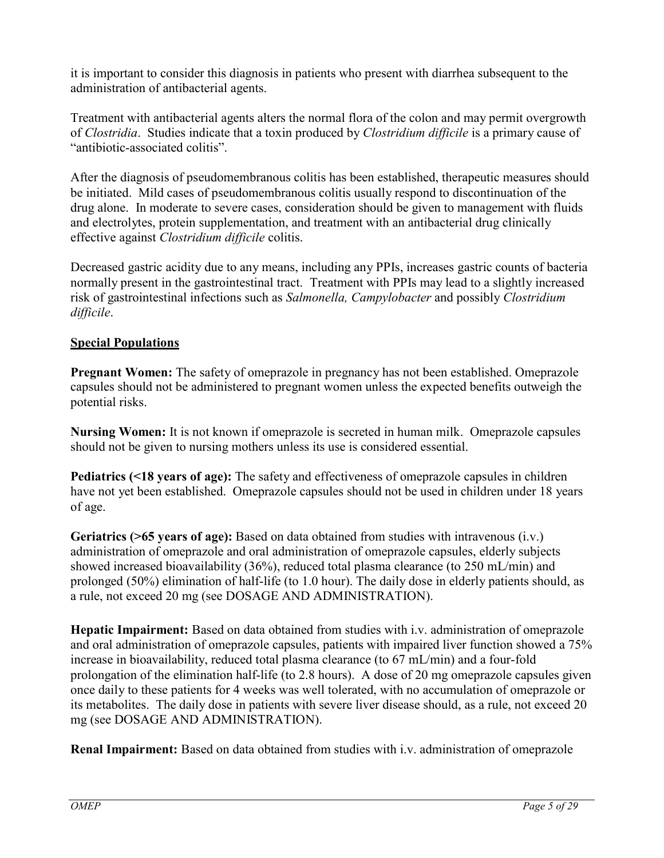it is important to consider this diagnosis in patients who present with diarrhea subsequent to the administration of antibacterial agents.

Treatment with antibacterial agents alters the normal flora of the colon and may permit overgrowth of *Clostridia*. Studies indicate that a toxin produced by *Clostridium difficile* is a primary cause of "antibiotic-associated colitis".

After the diagnosis of pseudomembranous colitis has been established, therapeutic measures should be initiated. Mild cases of pseudomembranous colitis usually respond to discontinuation of the drug alone. In moderate to severe cases, consideration should be given to management with fluids and electrolytes, protein supplementation, and treatment with an antibacterial drug clinically effective against *Clostridium difficile* colitis.

Decreased gastric acidity due to any means, including any PPIs, increases gastric counts of bacteria normally present in the gastrointestinal tract. Treatment with PPIs may lead to a slightly increased risk of gastrointestinal infections such as *Salmonella, Campylobacter* and possibly *Clostridium difficile*.

## **Special Populations**

**Pregnant Women:** The safety of omeprazole in pregnancy has not been established. Omeprazole capsules should not be administered to pregnant women unless the expected benefits outweigh the potential risks.

**Nursing Women:** It is not known if omeprazole is secreted in human milk. Omeprazole capsules should not be given to nursing mothers unless its use is considered essential.

**Pediatrics (<18 years of age):** The safety and effectiveness of omeprazole capsules in children have not yet been established. Omeprazole capsules should not be used in children under 18 years of age.

**Geriatrics (>65 years of age):** Based on data obtained from studies with intravenous (i.v.) administration of omeprazole and oral administration of omeprazole capsules, elderly subjects showed increased bioavailability (36%), reduced total plasma clearance (to 250 mL/min) and prolonged (50%) elimination of half-life (to 1.0 hour). The daily dose in elderly patients should, as a rule, not exceed 20 mg (see DOSAGE AND ADMINISTRATION).

**Hepatic Impairment:** Based on data obtained from studies with i.v. administration of omeprazole and oral administration of omeprazole capsules, patients with impaired liver function showed a 75% increase in bioavailability, reduced total plasma clearance (to 67 mL/min) and a four-fold prolongation of the elimination half-life (to 2.8 hours). A dose of 20 mg omeprazole capsules given once daily to these patients for 4 weeks was well tolerated, with no accumulation of omeprazole or its metabolites. The daily dose in patients with severe liver disease should, as a rule, not exceed 20 mg (see DOSAGE AND ADMINISTRATION).

**Renal Impairment:** Based on data obtained from studies with i.v. administration of omeprazole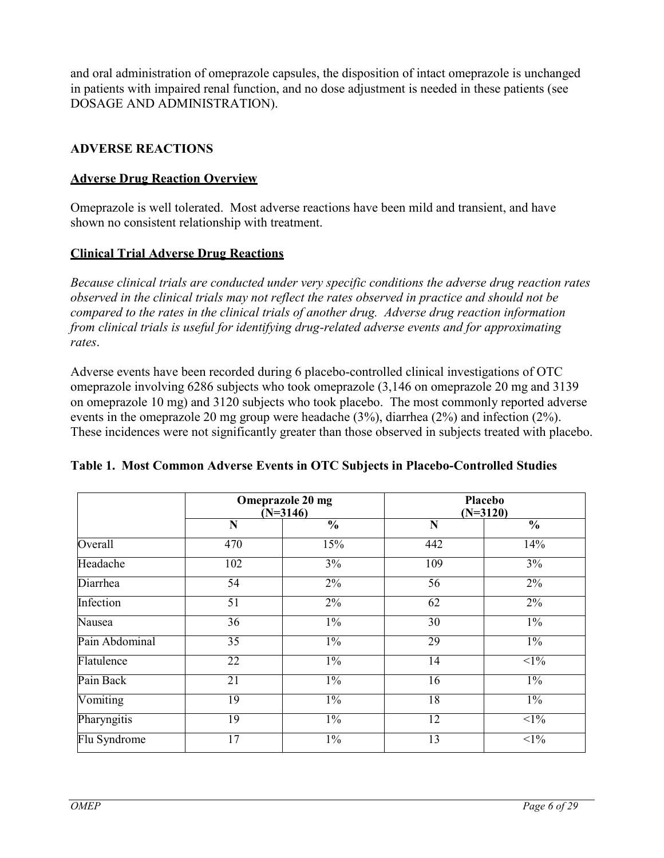and oral administration of omeprazole capsules, the disposition of intact omeprazole is unchanged in patients with impaired renal function, and no dose adjustment is needed in these patients (see DOSAGE AND ADMINISTRATION).

## <span id="page-5-0"></span>**ADVERSE REACTIONS**

## **Adverse Drug Reaction Overview**

Omeprazole is well tolerated. Most adverse reactions have been mild and transient, and have shown no consistent relationship with treatment.

## **Clinical Trial Adverse Drug Reactions**

*Because clinical trials are conducted under very specific conditions the adverse drug reaction rates observed in the clinical trials may not reflect the rates observed in practice and should not be compared to the rates in the clinical trials of another drug. Adverse drug reaction information from clinical trials is useful for identifying drug-related adverse events and for approximating rates*.

Adverse events have been recorded during 6 placebo-controlled clinical investigations of OTC omeprazole involving 6286 subjects who took omeprazole (3,146 on omeprazole 20 mg and 3139 on omeprazole 10 mg) and 3120 subjects who took placebo. The most commonly reported adverse events in the omeprazole 20 mg group were headache (3%), diarrhea (2%) and infection (2%). These incidences were not significantly greater than those observed in subjects treated with placebo.

|                | Omeprazole 20 mg<br>$(N=3146)$ |                          |                 | Placebo<br>$(N=3120)$    |
|----------------|--------------------------------|--------------------------|-----------------|--------------------------|
|                | N                              | $\overline{\frac{0}{0}}$ | N               | $\overline{\frac{0}{0}}$ |
| Overall        | 470                            | 15%                      | 442             | 14%                      |
| Headache       | 102                            | $3\%$                    | 109             | 3%                       |
| Diarrhea       | $\overline{54}$                | $2\%$                    | 56              | $2\%$                    |
| Infection      | $\overline{51}$                | $2\%$                    | 62              | $2\%$                    |
| Nausea         | 36                             | $1\%$                    | 30              | $1\%$                    |
| Pain Abdominal | $\overline{35}$                | $1\%$                    | 29              | $1\%$                    |
| Flatulence     | 22                             | $1\%$                    | 14              | $1\%$                    |
| Pain Back      | 21                             | $1\%$                    | 16              | $1\%$                    |
| Vomiting       | 19                             | $1\%$                    | 18              | $1\%$                    |
| Pharyngitis    | $\overline{19}$                | $1\%$                    | $\overline{12}$ | $\leq$ 1%                |
| Flu Syndrome   | $\overline{17}$                | $1\%$                    | $\overline{13}$ | $\leq$ 1%                |

## **Table 1. Most Common Adverse Events in OTC Subjects in Placebo-Controlled Studies**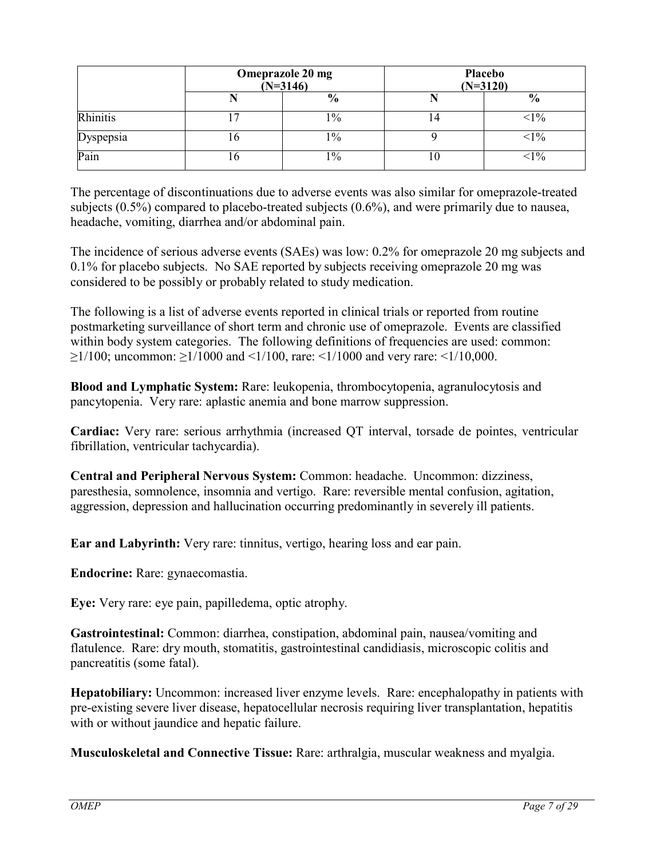|                  | Omeprazole 20 mg<br>$(N=3146)$ |                |    | Placebo<br>$(N=3120)$ |
|------------------|--------------------------------|----------------|----|-----------------------|
|                  |                                | $\frac{6}{6}$  |    | $\frac{6}{9}$         |
| Rhinitis         |                                | $\frac{10}{6}$ | 14 | $<1\%$                |
| <b>Dyspepsia</b> | 0                              | $\frac{10}{6}$ |    | $<$ l $%$             |
| Pain             | O                              | $\frac{0}{0}$  | 1U | $<1\%$                |

The percentage of discontinuations due to adverse events was also similar for omeprazole-treated subjects (0.5%) compared to placebo-treated subjects (0.6%), and were primarily due to nausea, headache, vomiting, diarrhea and/or abdominal pain.

The incidence of serious adverse events (SAEs) was low: 0.2% for omeprazole 20 mg subjects and 0.1% for placebo subjects. No SAE reported by subjects receiving omeprazole 20 mg was considered to be possibly or probably related to study medication.

The following is a list of adverse events reported in clinical trials or reported from routine postmarketing surveillance of short term and chronic use of omeprazole. Events are classified within body system categories. The following definitions of frequencies are used: common:  $\geq$ 1/100; uncommon:  $\geq$ 1/1000 and <1/100, rare: <1/1000 and very rare: <1/10,000.

**Blood and Lymphatic System:** Rare: leukopenia, thrombocytopenia, agranulocytosis and pancytopenia. Very rare: aplastic anemia and bone marrow suppression.

**Cardiac:** Very rare: serious arrhythmia (increased QT interval, torsade de pointes, ventricular fibrillation, ventricular tachycardia).

**Central and Peripheral Nervous System:** Common: headache. Uncommon: dizziness, paresthesia, somnolence, insomnia and vertigo. Rare: reversible mental confusion, agitation, aggression, depression and hallucination occurring predominantly in severely ill patients.

**Ear and Labyrinth:** Very rare: tinnitus, vertigo, hearing loss and ear pain.

**Endocrine:** Rare: gynaecomastia.

**Eye:** Very rare: eye pain, papilledema, optic atrophy.

**Gastrointestinal:** Common: diarrhea, constipation, abdominal pain, nausea/vomiting and flatulence. Rare: dry mouth, stomatitis, gastrointestinal candidiasis, microscopic colitis and pancreatitis (some fatal).

**Hepatobiliary:** Uncommon: increased liver enzyme levels. Rare: encephalopathy in patients with pre-existing severe liver disease, hepatocellular necrosis requiring liver transplantation, hepatitis with or without jaundice and hepatic failure.

**Musculoskeletal and Connective Tissue:** Rare: arthralgia, muscular weakness and myalgia.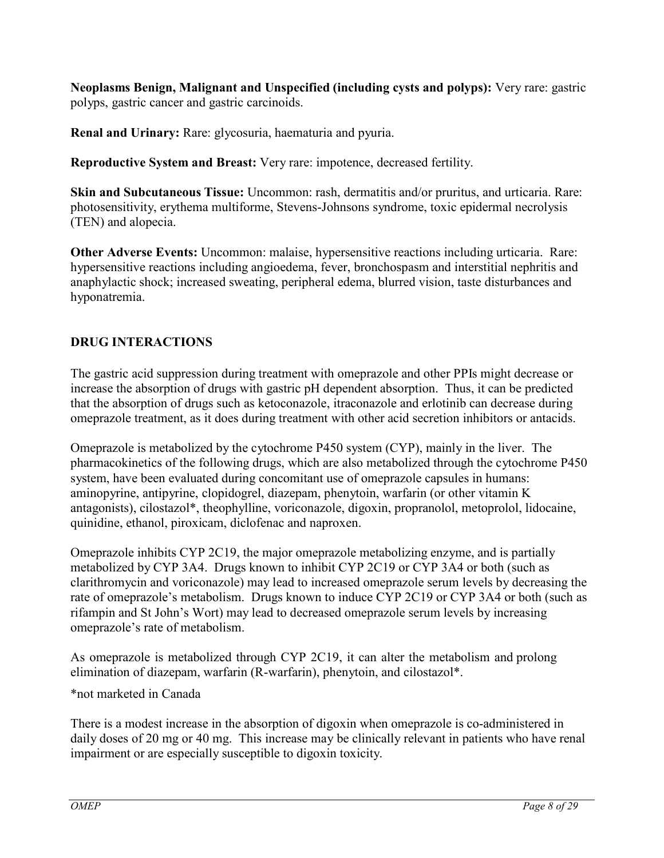**Neoplasms Benign, Malignant and Unspecified (including cysts and polyps):** Very rare: gastric polyps, gastric cancer and gastric carcinoids.

**Renal and Urinary:** Rare: glycosuria, haematuria and pyuria.

**Reproductive System and Breast:** Very rare: impotence, decreased fertility.

**Skin and Subcutaneous Tissue:** Uncommon: rash, dermatitis and/or pruritus, and urticaria. Rare: photosensitivity, erythema multiforme, Stevens-Johnsons syndrome, toxic epidermal necrolysis (TEN) and alopecia.

**Other Adverse Events:** Uncommon: malaise, hypersensitive reactions including urticaria. Rare: hypersensitive reactions including angioedema, fever, bronchospasm and interstitial nephritis and anaphylactic shock; increased sweating, peripheral edema, blurred vision, taste disturbances and hyponatremia.

# <span id="page-7-0"></span>**DRUG INTERACTIONS**

The gastric acid suppression during treatment with omeprazole and other PPIs might decrease or increase the absorption of drugs with gastric pH dependent absorption. Thus, it can be predicted that the absorption of drugs such as ketoconazole, itraconazole and erlotinib can decrease during omeprazole treatment, as it does during treatment with other acid secretion inhibitors or antacids.

Omeprazole is metabolized by the cytochrome P450 system (CYP), mainly in the liver. The pharmacokinetics of the following drugs, which are also metabolized through the cytochrome P450 system, have been evaluated during concomitant use of omeprazole capsules in humans: aminopyrine, antipyrine, clopidogrel, diazepam, phenytoin, warfarin (or other vitamin K antagonists), cilostazol\*, theophylline, voriconazole, digoxin, propranolol, metoprolol, lidocaine, quinidine, ethanol, piroxicam, diclofenac and naproxen.

Omeprazole inhibits CYP 2C19, the major omeprazole metabolizing enzyme, and is partially metabolized by CYP 3A4. Drugs known to inhibit CYP 2C19 or CYP 3A4 or both (such as clarithromycin and voriconazole) may lead to increased omeprazole serum levels by decreasing the rate of omeprazole's metabolism. Drugs known to induce CYP 2C19 or CYP 3A4 or both (such as rifampin and St John's Wort) may lead to decreased omeprazole serum levels by increasing omeprazole's rate of metabolism.

As omeprazole is metabolized through CYP 2C19, it can alter the metabolism and prolong elimination of diazepam, warfarin (R-warfarin), phenytoin, and cilostazol\*.

\*not marketed in Canada

There is a modest increase in the absorption of digoxin when omeprazole is co-administered in daily doses of 20 mg or 40 mg. This increase may be clinically relevant in patients who have renal impairment or are especially susceptible to digoxin toxicity.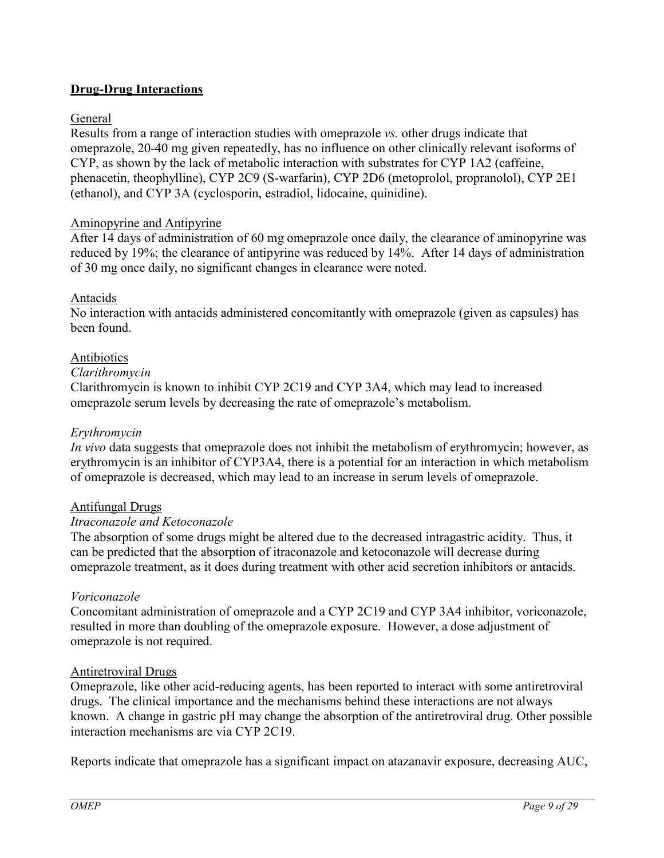## **Drug-Drug Interactions**

## General

Results from a range of interaction studies with omeprazole *vs.* other drugs indicate that omeprazole, 20-40 mg given repeatedly, has no influence on other clinically relevant isoforms of CYP, as shown by the lack of metabolic interaction with substrates for CYP 1A2 (caffeine, phenacetin, theophylline), CYP 2C9 (S-warfarin), CYP 2D6 (metoprolol, propranolol), CYP 2E1 (ethanol), and CYP 3A (cyclosporin, estradiol, lidocaine, quinidine).

## Aminopyrine and Antipyrine

After 14 days of administration of 60 mg omeprazole once daily, the clearance of aminopyrine was reduced by 19%; the clearance of antipyrine was reduced by 14%. After 14 days of administration of 30 mg once daily, no significant changes in clearance were noted.

## Antacids

No interaction with antacids administered concomitantly with omeprazole (given as capsules) has been found.

## Antibiotics

## *Clarithromycin*

Clarithromycin is known to inhibit CYP 2C19 and CYP 3A4, which may lead to increased omeprazole serum levels by decreasing the rate of omeprazole's metabolism.

## *Erythromycin*

*In vivo* data suggests that omeprazole does not inhibit the metabolism of erythromycin; however, as erythromycin is an inhibitor of CYP3A4, there is a potential for an interaction in which metabolism of omeprazole is decreased, which may lead to an increase in serum levels of omeprazole.

## Antifungal Drugs

## *Itraconazole and Ketoconazole*

The absorption of some drugs might be altered due to the decreased intragastric acidity. Thus, it can be predicted that the absorption of itraconazole and ketoconazole will decrease during omeprazole treatment, as it does during treatment with other acid secretion inhibitors or antacids.

## *Voriconazole*

Concomitant administration of omeprazole and a CYP 2C19 and CYP 3A4 inhibitor, voriconazole, resulted in more than doubling of the omeprazole exposure. However, a dose adjustment of omeprazole is not required.

## Antiretroviral Drugs

Omeprazole, like other acid-reducing agents, has been reported to interact with some antiretroviral drugs. The clinical importance and the mechanisms behind these interactions are not always known. A change in gastric pH may change the absorption of the antiretroviral drug. Other possible interaction mechanisms are via CYP 2C19.

Reports indicate that omeprazole has a significant impact on atazanavir exposure, decreasing AUC,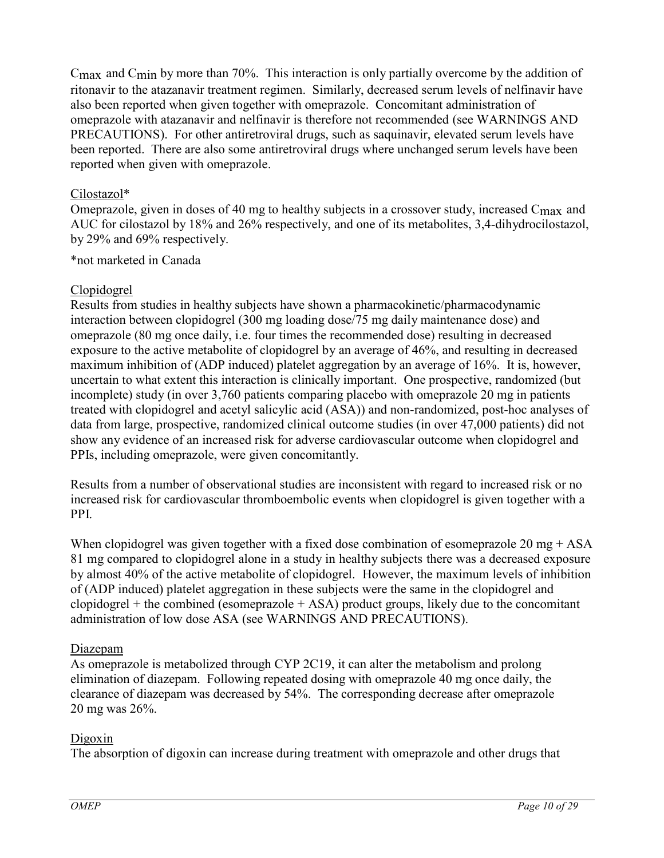Cmax and Cmin by more than 70%. This interaction is only partially overcome by the addition of ritonavir to the atazanavir treatment regimen. Similarly, decreased serum levels of nelfinavir have also been reported when given together with omeprazole. Concomitant administration of omeprazole with atazanavir and nelfinavir is therefore not recommended (see WARNINGS AND PRECAUTIONS). For other antiretroviral drugs, such as saquinavir, elevated serum levels have been reported. There are also some antiretroviral drugs where unchanged serum levels have been reported when given with omeprazole.

## Cilostazol\*

Omeprazole, given in doses of 40 mg to healthy subjects in a crossover study, increased C<sub>max</sub> and AUC for cilostazol by 18% and 26% respectively, and one of its metabolites, 3,4-dihydrocilostazol, by 29% and 69% respectively.

\*not marketed in Canada

## Clopidogrel

Results from studies in healthy subjects have shown a pharmacokinetic/pharmacodynamic interaction between clopidogrel (300 mg loading dose/75 mg daily maintenance dose) and omeprazole (80 mg once daily, i.e. four times the recommended dose) resulting in decreased exposure to the active metabolite of clopidogrel by an average of 46%, and resulting in decreased maximum inhibition of (ADP induced) platelet aggregation by an average of 16%. It is, however, uncertain to what extent this interaction is clinically important. One prospective, randomized (but incomplete) study (in over 3,760 patients comparing placebo with omeprazole 20 mg in patients treated with clopidogrel and acetyl salicylic acid (ASA)) and non-randomized, post-hoc analyses of data from large, prospective, randomized clinical outcome studies (in over 47,000 patients) did not show any evidence of an increased risk for adverse cardiovascular outcome when clopidogrel and PPIs, including omeprazole, were given concomitantly.

Results from a number of observational studies are inconsistent with regard to increased risk or no increased risk for cardiovascular thromboembolic events when clopidogrel is given together with a PPI.

When clopidogrel was given together with a fixed dose combination of esomeprazole 20 mg + ASA 81 mg compared to clopidogrel alone in a study in healthy subjects there was a decreased exposure by almost 40% of the active metabolite of clopidogrel. However, the maximum levels of inhibition of (ADP induced) platelet aggregation in these subjects were the same in the clopidogrel and clopidogrel  $+$  the combined (esomeprazole  $+$  ASA) product groups, likely due to the concomitant administration of low dose ASA (see WARNINGS AND PRECAUTIONS).

## Diazepam

As omeprazole is metabolized through CYP 2C19, it can alter the metabolism and prolong elimination of diazepam. Following repeated dosing with omeprazole 40 mg once daily, the clearance of diazepam was decreased by 54%. The corresponding decrease after omeprazole 20 mg was 26%.

# Digoxin

The absorption of digoxin can increase during treatment with omeprazole and other drugs that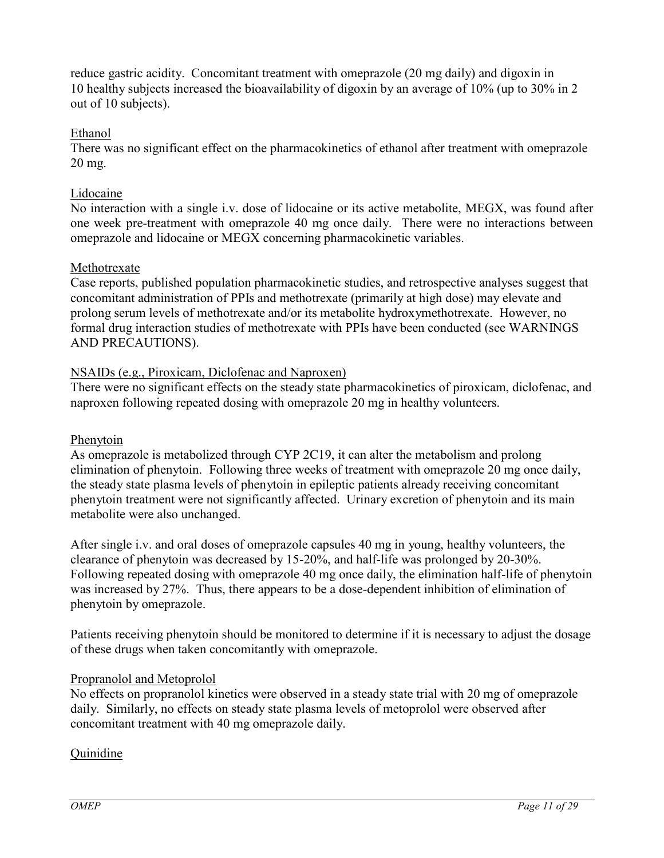reduce gastric acidity. Concomitant treatment with omeprazole (20 mg daily) and digoxin in 10 healthy subjects increased the bioavailability of digoxin by an average of 10% (up to 30% in 2 out of 10 subjects).

## Ethanol

There was no significant effect on the pharmacokinetics of ethanol after treatment with omeprazole 20 mg.

## Lidocaine

No interaction with a single i.v. dose of lidocaine or its active metabolite, MEGX, was found after one week pre-treatment with omeprazole 40 mg once daily. There were no interactions between omeprazole and lidocaine or MEGX concerning pharmacokinetic variables.

## Methotrexate

Case reports, published population pharmacokinetic studies, and retrospective analyses suggest that concomitant administration of PPIs and methotrexate (primarily at high dose) may elevate and prolong serum levels of methotrexate and/or its metabolite hydroxymethotrexate. However, no formal drug interaction studies of methotrexate with PPIs have been conducted (see WARNINGS AND PRECAUTIONS).

## NSAIDs (e.g., Piroxicam, Diclofenac and Naproxen)

There were no significant effects on the steady state pharmacokinetics of piroxicam, diclofenac, and naproxen following repeated dosing with omeprazole 20 mg in healthy volunteers.

## Phenytoin

As omeprazole is metabolized through CYP 2C19, it can alter the metabolism and prolong elimination of phenytoin. Following three weeks of treatment with omeprazole 20 mg once daily, the steady state plasma levels of phenytoin in epileptic patients already receiving concomitant phenytoin treatment were not significantly affected. Urinary excretion of phenytoin and its main metabolite were also unchanged.

After single i.v. and oral doses of omeprazole capsules 40 mg in young, healthy volunteers, the clearance of phenytoin was decreased by 15-20%, and half-life was prolonged by 20-30%. Following repeated dosing with omeprazole 40 mg once daily, the elimination half-life of phenytoin was increased by 27%. Thus, there appears to be a dose-dependent inhibition of elimination of phenytoin by omeprazole.

Patients receiving phenytoin should be monitored to determine if it is necessary to adjust the dosage of these drugs when taken concomitantly with omeprazole.

## Propranolol and Metoprolol

No effects on propranolol kinetics were observed in a steady state trial with 20 mg of omeprazole daily. Similarly, no effects on steady state plasma levels of metoprolol were observed after concomitant treatment with 40 mg omeprazole daily.

## Quinidine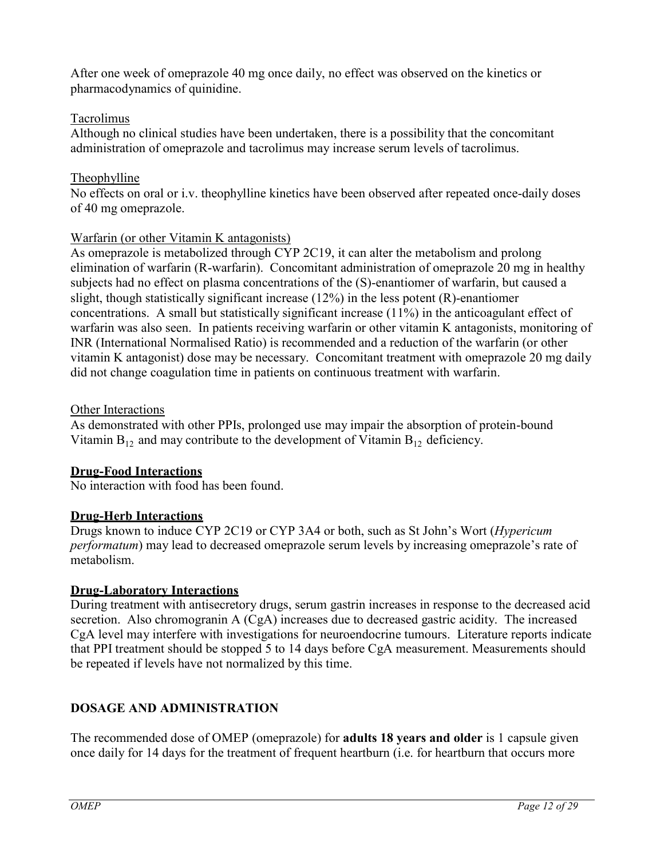After one week of omeprazole 40 mg once daily, no effect was observed on the kinetics or pharmacodynamics of quinidine.

## **Tacrolimus**

Although no clinical studies have been undertaken, there is a possibility that the concomitant administration of omeprazole and tacrolimus may increase serum levels of tacrolimus.

## Theophylline

No effects on oral or i.v. theophylline kinetics have been observed after repeated once-daily doses of 40 mg omeprazole.

## Warfarin (or other Vitamin K antagonists)

As omeprazole is metabolized through CYP 2C19, it can alter the metabolism and prolong elimination of warfarin (R-warfarin). Concomitant administration of omeprazole 20 mg in healthy subjects had no effect on plasma concentrations of the (S)-enantiomer of warfarin, but caused a slight, though statistically significant increase  $(12\%)$  in the less potent  $(R)$ -enantiomer concentrations. A small but statistically significant increase (11%) in the anticoagulant effect of warfarin was also seen. In patients receiving warfarin or other vitamin K antagonists, monitoring of INR (International Normalised Ratio) is recommended and a reduction of the warfarin (or other vitamin K antagonist) dose may be necessary. Concomitant treatment with omeprazole 20 mg daily did not change coagulation time in patients on continuous treatment with warfarin.

## Other Interactions

As demonstrated with other PPIs, prolonged use may impair the absorption of protein-bound Vitamin  $B_{12}$  and may contribute to the development of Vitamin  $B_{12}$  deficiency.

# **Drug-Food Interactions**

No interaction with food has been found.

# **Drug-Herb Interactions**

Drugs known to induce CYP 2C19 or CYP 3A4 or both, such as St John's Wort (*Hypericum performatum*) may lead to decreased omeprazole serum levels by increasing omeprazole's rate of metabolism.

# **Drug-Laboratory Interactions**

During treatment with antisecretory drugs, serum gastrin increases in response to the decreased acid secretion. Also chromogranin A (CgA) increases due to decreased gastric acidity. The increased CgA level may interfere with investigations for neuroendocrine tumours. Literature reports indicate that PPI treatment should be stopped 5 to 14 days before CgA measurement. Measurements should be repeated if levels have not normalized by this time.

# <span id="page-11-0"></span>**DOSAGE AND ADMINISTRATION**

The recommended dose of OMEP (omeprazole) for **adults 18 years and older** is 1 capsule given once daily for 14 days for the treatment of frequent heartburn (i.e. for heartburn that occurs more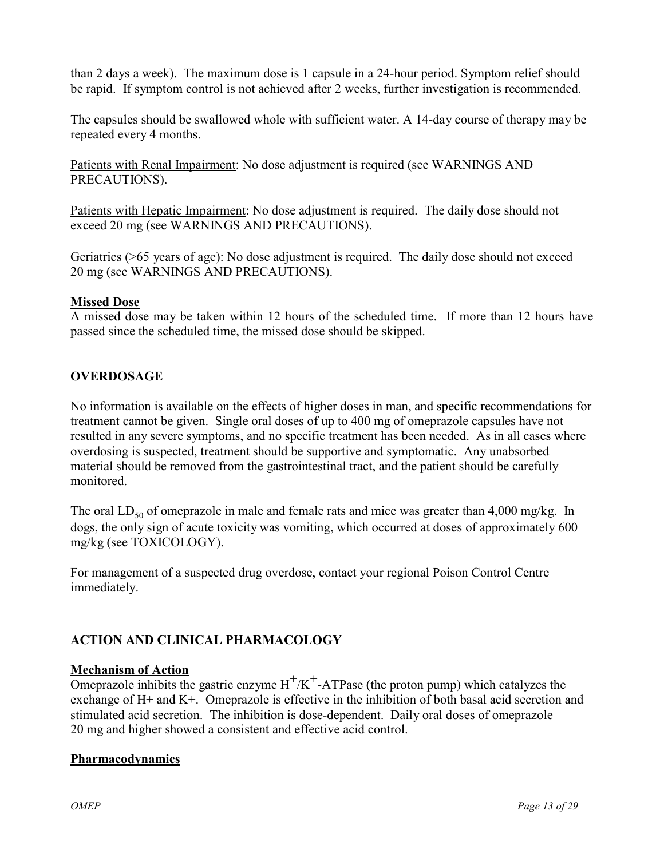than 2 days a week). The maximum dose is 1 capsule in a 24-hour period. Symptom relief should be rapid. If symptom control is not achieved after 2 weeks, further investigation is recommended.

The capsules should be swallowed whole with sufficient water. A 14-day course of therapy may be repeated every 4 months.

Patients with Renal Impairment: No dose adjustment is required (see WARNINGS AND PRECAUTIONS).

Patients with Hepatic Impairment: No dose adjustment is required. The daily dose should not exceed 20 mg (see WARNINGS AND PRECAUTIONS).

Geriatrics (>65 years of age): No dose adjustment is required. The daily dose should not exceed 20 mg (see WARNINGS AND PRECAUTIONS).

## **Missed Dose**

A missed dose may be taken within 12 hours of the scheduled time. If more than 12 hours have passed since the scheduled time, the missed dose should be skipped.

# <span id="page-12-0"></span>**OVERDOSAGE**

No information is available on the effects of higher doses in man, and specific recommendations for treatment cannot be given. Single oral doses of up to 400 mg of omeprazole capsules have not resulted in any severe symptoms, and no specific treatment has been needed. As in all cases where overdosing is suspected, treatment should be supportive and symptomatic. Any unabsorbed material should be removed from the gastrointestinal tract, and the patient should be carefully monitored.

The oral  $LD_{50}$  of omeprazole in male and female rats and mice was greater than 4,000 mg/kg. In dogs, the only sign of acute toxicity was vomiting, which occurred at doses of approximately 600 mg/kg (see TOXICOLOGY).

For management of a suspected drug overdose, contact your regional Poison Control Centre immediately.

# <span id="page-12-1"></span>**ACTION AND CLINICAL PHARMACOLOGY**

## **Mechanism of Action**

Omeprazole inhibits the gastric enzyme  $H^+/K^+$ -ATPase (the proton pump) which catalyzes the exchange of H+ and K+. Omeprazole is effective in the inhibition of both basal acid secretion and stimulated acid secretion. The inhibition is dose-dependent. Daily oral doses of omeprazole 20 mg and higher showed a consistent and effective acid control.

# **Pharmacodynamics**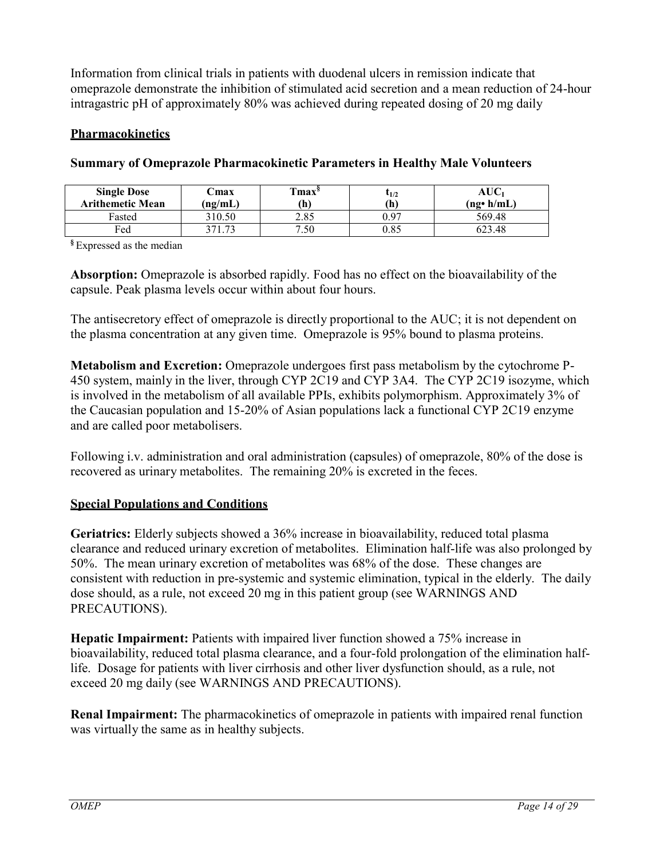Information from clinical trials in patients with duodenal ulcers in remission indicate that omeprazole demonstrate the inhibition of stimulated acid secretion and a mean reduction of 24-hour intragastric pH of approximately 80% was achieved during repeated dosing of 20 mg daily

## **Pharmacokinetics**

| <b>Single Dose</b><br><b>Arithemetic Mean</b> | ∵max<br>(ng/mL) | <b>Tmax</b> <sup>§</sup><br>(h) | 1/2<br>$\mathbf{h}$ | AUC1<br>$(ng \cdot h/mL)$ |
|-----------------------------------------------|-----------------|---------------------------------|---------------------|---------------------------|
| Fasted                                        | 310.50          | 2.85                            | 0.97                | 569.48                    |
| $_{\rm{fed}}$                                 | 271 72          | 7.50                            | 0.85                | 623.48                    |

#### **Summary of Omeprazole Pharmacokinetic Parameters in Healthy Male Volunteers**

**§** Expressed as the median

**Absorption:** Omeprazole is absorbed rapidly. Food has no effect on the bioavailability of the capsule. Peak plasma levels occur within about four hours.

The antisecretory effect of omeprazole is directly proportional to the AUC; it is not dependent on the plasma concentration at any given time. Omeprazole is 95% bound to plasma proteins.

**Metabolism and Excretion:** Omeprazole undergoes first pass metabolism by the cytochrome P-450 system, mainly in the liver, through CYP 2C19 and CYP 3A4. The CYP 2C19 isozyme, which is involved in the metabolism of all available PPIs, exhibits polymorphism. Approximately 3% of the Caucasian population and 15-20% of Asian populations lack a functional CYP 2C19 enzyme and are called poor metabolisers.

Following i.v. administration and oral administration (capsules) of omeprazole, 80% of the dose is recovered as urinary metabolites. The remaining 20% is excreted in the feces.

# **Special Populations and Conditions**

**Geriatrics:** Elderly subjects showed a 36% increase in bioavailability, reduced total plasma clearance and reduced urinary excretion of metabolites. Elimination half-life was also prolonged by 50%. The mean urinary excretion of metabolites was 68% of the dose. These changes are consistent with reduction in pre-systemic and systemic elimination, typical in the elderly. The daily dose should, as a rule, not exceed 20 mg in this patient group (see WARNINGS AND PRECAUTIONS).

**Hepatic Impairment:** Patients with impaired liver function showed a 75% increase in bioavailability, reduced total plasma clearance, and a four-fold prolongation of the elimination halflife. Dosage for patients with liver cirrhosis and other liver dysfunction should, as a rule, not exceed 20 mg daily (see WARNINGS AND PRECAUTIONS).

**Renal Impairment:** The pharmacokinetics of omeprazole in patients with impaired renal function was virtually the same as in healthy subjects.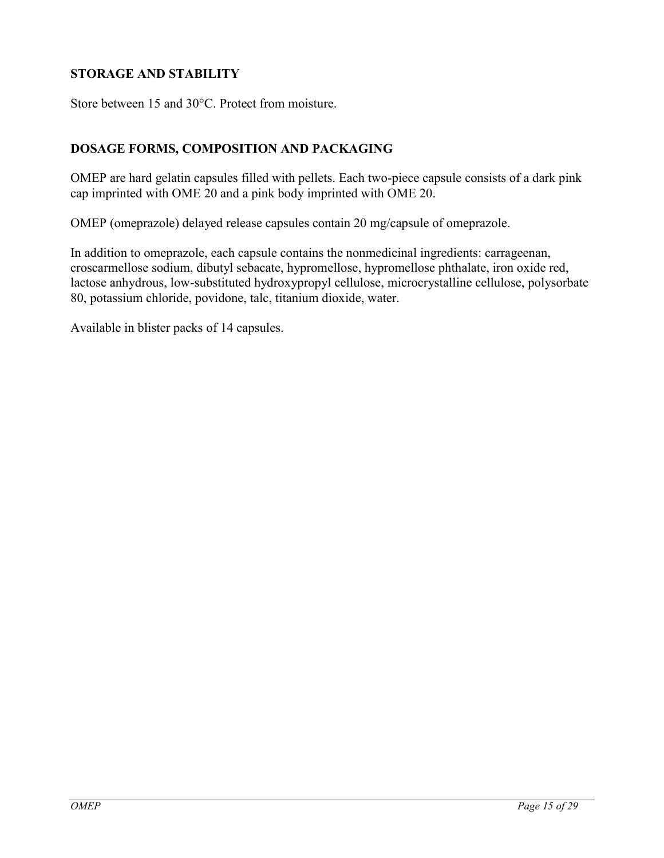# <span id="page-14-0"></span>**STORAGE AND STABILITY**

Store between 15 and 30°C. Protect from moisture.

## <span id="page-14-1"></span>**DOSAGE FORMS, COMPOSITION AND PACKAGING**

OMEP are hard gelatin capsules filled with pellets. Each two-piece capsule consists of a dark pink cap imprinted with OME 20 and a pink body imprinted with OME 20.

OMEP (omeprazole) delayed release capsules contain 20 mg/capsule of omeprazole.

In addition to omeprazole, each capsule contains the nonmedicinal ingredients: carrageenan, croscarmellose sodium, dibutyl sebacate, hypromellose, hypromellose phthalate, iron oxide red, lactose anhydrous, low-substituted hydroxypropyl cellulose, microcrystalline cellulose, polysorbate 80, potassium chloride, povidone, talc, titanium dioxide, water.

Available in blister packs of 14 capsules.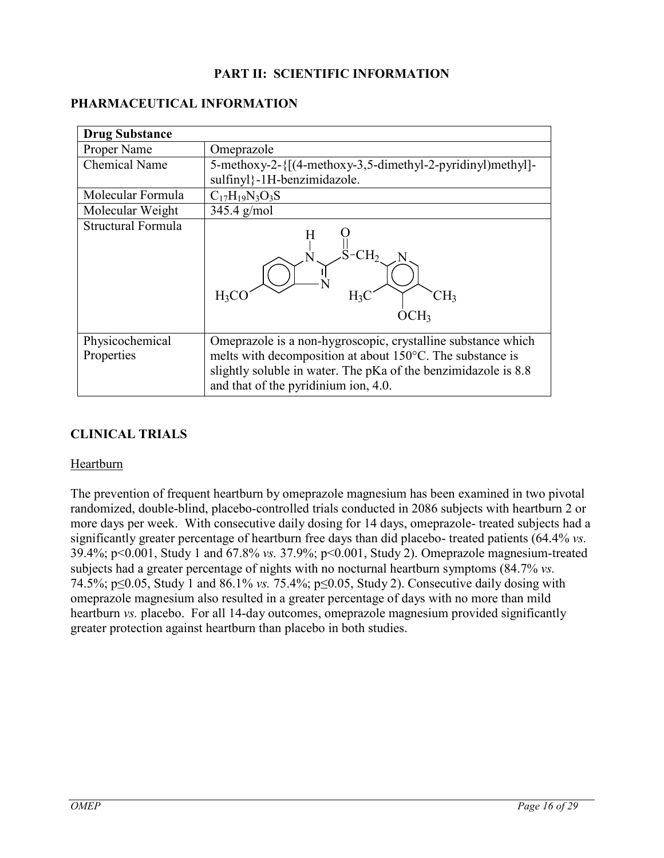## <span id="page-15-0"></span>**PART II: SCIENTIFIC INFORMATION**

#### <span id="page-15-1"></span>**PHARMACEUTICAL INFORMATION**

| <b>Drug Substance</b>         |                                                                                                                                                                                                                                     |  |  |
|-------------------------------|-------------------------------------------------------------------------------------------------------------------------------------------------------------------------------------------------------------------------------------|--|--|
| Proper Name                   | Omeprazole                                                                                                                                                                                                                          |  |  |
| <b>Chemical Name</b>          | 5-methoxy-2-{[(4-methoxy-3,5-dimethyl-2-pyridinyl)methyl]-                                                                                                                                                                          |  |  |
|                               | sulfinyl}-1H-benzimidazole.                                                                                                                                                                                                         |  |  |
| Molecular Formula             | $C_{17}H_{19}N_3O_3S$                                                                                                                                                                                                               |  |  |
| Molecular Weight              | $345.4$ g/mol                                                                                                                                                                                                                       |  |  |
| Structural Formula            | H<br>CH <sub>2</sub><br>$H_3C$<br>CH3<br>$H_3$                                                                                                                                                                                      |  |  |
| Physicochemical<br>Properties | Omeprazole is a non-hygroscopic, crystalline substance which<br>melts with decomposition at about 150°C. The substance is<br>slightly soluble in water. The pKa of the benzimidazole is 8.8<br>and that of the pyridinium ion, 4.0. |  |  |

# <span id="page-15-2"></span>**CLINICAL TRIALS**

#### Heartburn

The prevention of frequent heartburn by omeprazole magnesium has been examined in two pivotal randomized, double-blind, placebo-controlled trials conducted in 2086 subjects with heartburn 2 or more days per week. With consecutive daily dosing for 14 days, omeprazole- treated subjects had a significantly greater percentage of heartburn free days than did placebo- treated patients (64.4% *vs.* 39.4%; p<0.001, Study 1 and 67.8% *vs.* 37.9%; p<0.001, Study 2). Omeprazole magnesium-treated subjects had a greater percentage of nights with no nocturnal heartburn symptoms (84.7% *vs.*  74.5%; p≤0.05, Study 1 and 86.1% *vs.* 75.4%; p≤0.05, Study 2). Consecutive daily dosing with omeprazole magnesium also resulted in a greater percentage of days with no more than mild heartburn *vs.* placebo. For all 14-day outcomes, omeprazole magnesium provided significantly greater protection against heartburn than placebo in both studies.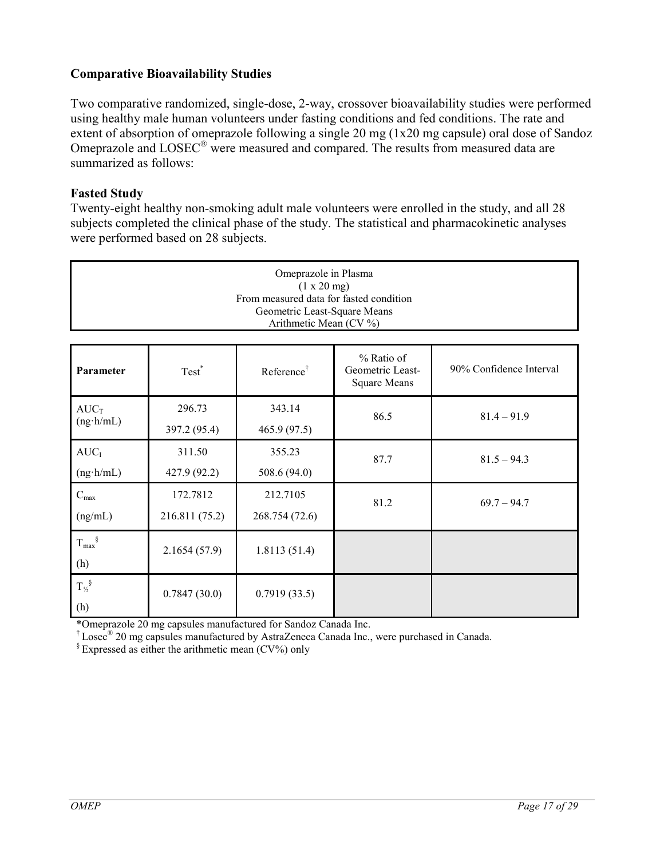## **Comparative Bioavailability Studies**

Two comparative randomized, single-dose, 2-way, crossover bioavailability studies were performed using healthy male human volunteers under fasting conditions and fed conditions. The rate and extent of absorption of omeprazole following a single 20 mg (1x20 mg capsule) oral dose of Sandoz Omeprazole and LOSEC<sup>®</sup> were measured and compared. The results from measured data are summarized as follows:

## **Fasted Study**

Twenty-eight healthy non-smoking adult male volunteers were enrolled in the study, and all 28 subjects completed the clinical phase of the study. The statistical and pharmacokinetic analyses were performed based on 28 subjects.

| Omeprazole in Plasma<br>(1 x 20 mg)<br>From measured data for fasted condition<br>Geometric Least-Square Means<br>Arithmetic Mean (CV %) |                            |                            |                                                       |                         |  |
|------------------------------------------------------------------------------------------------------------------------------------------|----------------------------|----------------------------|-------------------------------------------------------|-------------------------|--|
| Parameter                                                                                                                                | Test <sup>*</sup>          | Reference <sup>†</sup>     | % Ratio of<br>Geometric Least-<br><b>Square Means</b> | 90% Confidence Interval |  |
| $AUC_T$<br>$(ng \cdot h/mL)$                                                                                                             | 296.73<br>397.2 (95.4)     | 343.14<br>465.9 (97.5)     | 86.5                                                  | $81.4 - 91.9$           |  |
| AUC <sub>I</sub><br>$(ng \cdot h/mL)$                                                                                                    | 311.50<br>427.9 (92.2)     | 355.23<br>508.6 (94.0)     | 87.7                                                  | $81.5 - 94.3$           |  |
| $C_{\text{max}}$<br>(ng/mL)                                                                                                              | 172.7812<br>216.811 (75.2) | 212.7105<br>268.754 (72.6) | 81.2                                                  | $69.7 - 94.7$           |  |
| $T_{\text{max}}^{\S}$<br>(h)                                                                                                             | 2.1654(57.9)               | 1.8113(51.4)               |                                                       |                         |  |
| $T_{\frac{1}{2}}^{\S}$<br>(h)                                                                                                            | 0.7847(30.0)               | 0.7919(33.5)               |                                                       |                         |  |

\*Omeprazole 20 mg capsules manufactured for Sandoz Canada Inc.

† Losec® 20 mg capsules manufactured by AstraZeneca Canada Inc., were purchased in Canada.

 $\frac{1}{2}$  Expressed as either the arithmetic mean (CV%) only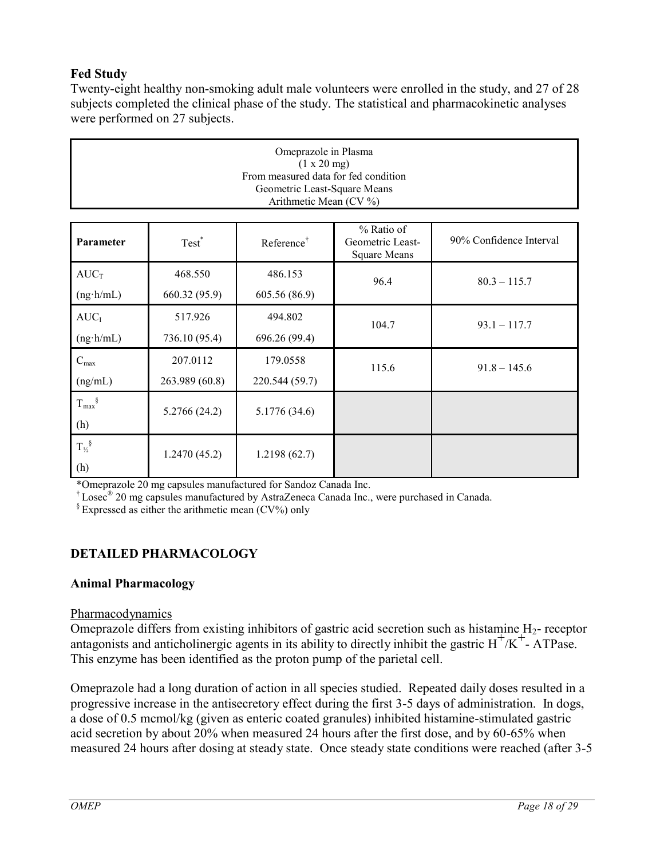# **Fed Study**

Twenty-eight healthy non-smoking adult male volunteers were enrolled in the study, and 27 of 28 subjects completed the clinical phase of the study. The statistical and pharmacokinetic analyses were performed on 27 subjects.

| Omeprazole in Plasma<br>(1 x 20 mg)<br>From measured data for fed condition<br>Geometric Least-Square Means<br>Arithmetic Mean (CV %) |                   |                        |                                                       |                         |  |
|---------------------------------------------------------------------------------------------------------------------------------------|-------------------|------------------------|-------------------------------------------------------|-------------------------|--|
| Parameter                                                                                                                             | Test <sup>*</sup> | Reference <sup>†</sup> | % Ratio of<br>Geometric Least-<br><b>Square Means</b> | 90% Confidence Interval |  |
| $AUC_T$                                                                                                                               | 468.550           | 486.153                | 96.4                                                  | $80.3 - 115.7$          |  |
| $(ng \cdot h/mL)$                                                                                                                     | 660.32 (95.9)     | 605.56 (86.9)          |                                                       |                         |  |
| AUC <sub>I</sub>                                                                                                                      | 517.926           | 494.802                | 104.7                                                 | $93.1 - 117.7$          |  |
| $(ng \cdot h/mL)$                                                                                                                     | 736.10 (95.4)     | 696.26 (99.4)          |                                                       |                         |  |
| $C_{\text{max}}$                                                                                                                      | 207.0112          | 179.0558               | 115.6                                                 | $91.8 - 145.6$          |  |
| (ng/mL)                                                                                                                               | 263.989 (60.8)    | 220.544 (59.7)         |                                                       |                         |  |
| $T_{\text{max}}^{\S}$<br>(h)                                                                                                          | 5.2766(24.2)      | 5.1776 (34.6)          |                                                       |                         |  |
| $T_{\frac{1}{2}}^{\S}$<br>(h)                                                                                                         | 1.2470(45.2)      | 1.2198(62.7)           |                                                       |                         |  |

\*Omeprazole 20 mg capsules manufactured for Sandoz Canada Inc.

† Losec® 20 mg capsules manufactured by AstraZeneca Canada Inc., were purchased in Canada.

 $\frac{1}{2}$  Expressed as either the arithmetic mean (CV%) only

# <span id="page-17-0"></span>**DETAILED PHARMACOLOGY**

## **Animal Pharmacology**

#### Pharmacodynamics

Omeprazole differs from existing inhibitors of gastric acid secretion such as histamine H<sub>2</sub>- receptor  $\alpha$  antagonists and anticholinergic agents in its ability to directly inhibit the gastric  $H^+/K^+$ - ATPase. This enzyme has been identified as the proton pump of the parietal cell.

Omeprazole had a long duration of action in all species studied. Repeated daily doses resulted in a progressive increase in the antisecretory effect during the first 3-5 days of administration. In dogs, a dose of 0.5 mcmol/kg (given as enteric coated granules) inhibited histamine-stimulated gastric acid secretion by about 20% when measured 24 hours after the first dose, and by 60-65% when measured 24 hours after dosing at steady state. Once steady state conditions were reached (after 3-5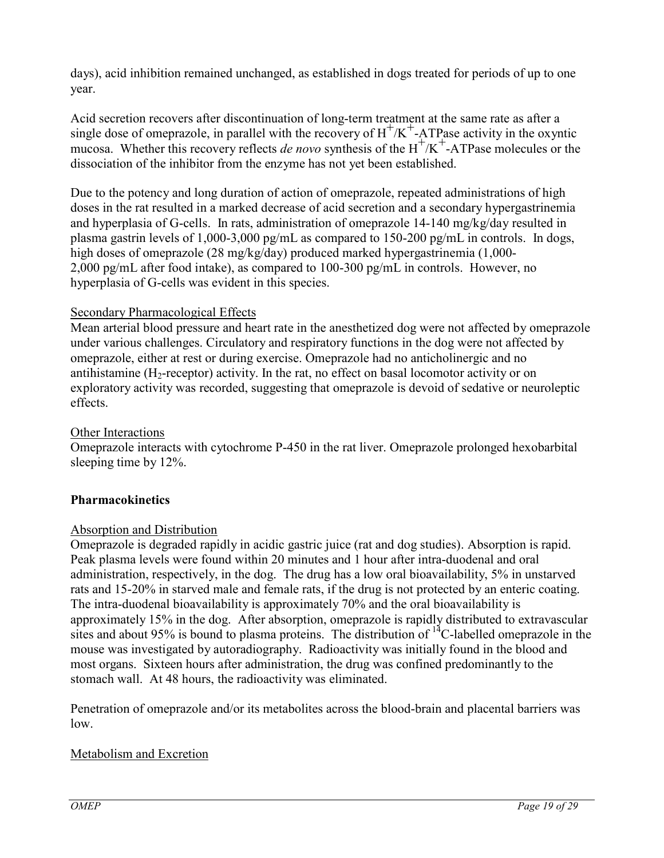days), acid inhibition remained unchanged, as established in dogs treated for periods of up to one year.

Acid secretion recovers after discontinuation of long-term treatment at the same rate as after a single dose of omeprazole, in parallel with the recovery of  $H^+/K^+$ -ATPase activity in the oxyntic mucosa. Whether this recovery reflects *de novo* synthesis of the  $H^+ / K^+$ -ATPase molecules or the dissociation of the inhibitor from the enzyme has not yet been established.

Due to the potency and long duration of action of omeprazole, repeated administrations of high doses in the rat resulted in a marked decrease of acid secretion and a secondary hypergastrinemia and hyperplasia of G-cells. In rats, administration of omeprazole 14-140 mg/kg/day resulted in plasma gastrin levels of 1,000-3,000 pg/mL as compared to 150-200 pg/mL in controls. In dogs, high doses of omeprazole (28 mg/kg/day) produced marked hypergastrinemia (1,000- 2,000 pg/mL after food intake), as compared to 100-300 pg/mL in controls. However, no hyperplasia of G-cells was evident in this species.

# Secondary Pharmacological Effects

Mean arterial blood pressure and heart rate in the anesthetized dog were not affected by omeprazole under various challenges. Circulatory and respiratory functions in the dog were not affected by omeprazole, either at rest or during exercise. Omeprazole had no anticholinergic and no antihistamine  $(H<sub>2</sub>-receptor)$  activity. In the rat, no effect on basal locomotor activity or on exploratory activity was recorded, suggesting that omeprazole is devoid of sedative or neuroleptic effects.

## Other Interactions

Omeprazole interacts with cytochrome P-450 in the rat liver. Omeprazole prolonged hexobarbital sleeping time by 12%.

# **Pharmacokinetics**

## Absorption and Distribution

Omeprazole is degraded rapidly in acidic gastric juice (rat and dog studies). Absorption is rapid. Peak plasma levels were found within 20 minutes and 1 hour after intra-duodenal and oral administration, respectively, in the dog. The drug has a low oral bioavailability, 5% in unstarved rats and 15-20% in starved male and female rats, if the drug is not protected by an enteric coating. The intra-duodenal bioavailability is approximately 70% and the oral bioavailability is approximately 15% in the dog. After absorption, omeprazole is rapidly distributed to extravascular sites and about 95% is bound to plasma proteins. The distribution of  $14^{\circ}$ C-labelled omeprazole in the mouse was investigated by autoradiography. Radioactivity was initially found in the blood and most organs. Sixteen hours after administration, the drug was confined predominantly to the stomach wall. At 48 hours, the radioactivity was eliminated.

Penetration of omeprazole and/or its metabolites across the blood-brain and placental barriers was low.

# Metabolism and Excretion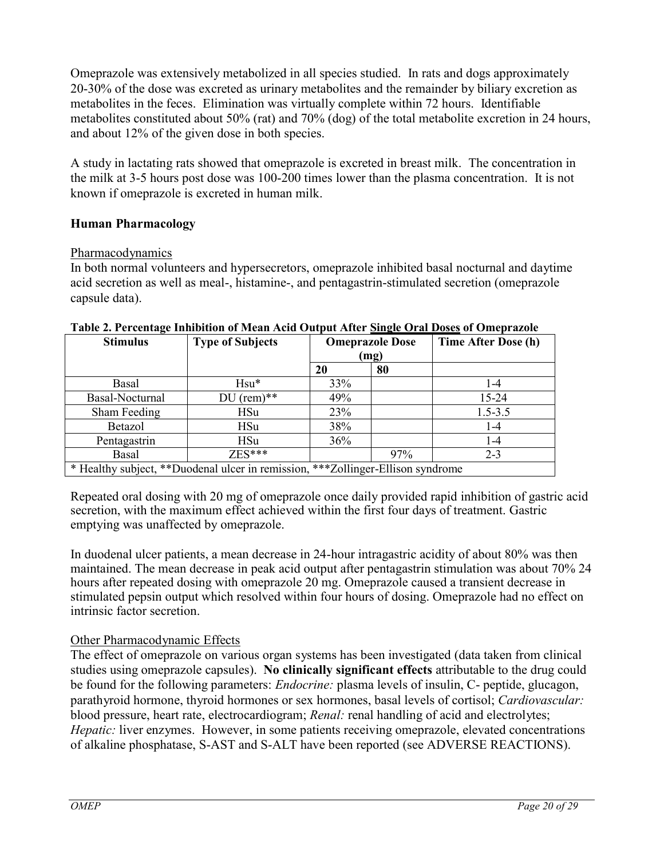Omeprazole was extensively metabolized in all species studied. In rats and dogs approximately 20-30% of the dose was excreted as urinary metabolites and the remainder by biliary excretion as metabolites in the feces. Elimination was virtually complete within 72 hours. Identifiable metabolites constituted about 50% (rat) and 70% (dog) of the total metabolite excretion in 24 hours, and about 12% of the given dose in both species.

A study in lactating rats showed that omeprazole is excreted in breast milk. The concentration in the milk at 3-5 hours post dose was 100-200 times lower than the plasma concentration. It is not known if omeprazole is excreted in human milk.

## **Human Pharmacology**

## Pharmacodynamics

In both normal volunteers and hypersecretors, omeprazole inhibited basal nocturnal and daytime acid secretion as well as meal-, histamine-, and pentagastrin-stimulated secretion (omeprazole capsule data).

| <b>Stimulus</b>                                                                    | <b>Type of Subjects</b> | <b>Omeprazole Dose</b><br>(mg) |     | Time After Dose (h) |
|------------------------------------------------------------------------------------|-------------------------|--------------------------------|-----|---------------------|
|                                                                                    |                         |                                |     |                     |
|                                                                                    |                         | 20                             | 80  |                     |
| Basal                                                                              | $Hsu*$                  | 33%                            |     | 1-4                 |
| Basal-Nocturnal                                                                    | $DU$ (rem)**            | 49%                            |     | 15-24               |
| Sham Feeding                                                                       | <b>HSu</b>              | 23%                            |     | $1.5 - 3.5$         |
| Betazol                                                                            | <b>HSu</b>              | 38%                            |     | $1 - 4$             |
| Pentagastrin                                                                       | <b>HSu</b>              | 36%                            |     | $1 - 4$             |
| Basal                                                                              | $ZES***$                |                                | 97% | $2 - 3$             |
| * Healthy subject, **Duodenal ulcer in remission,<br>***Zollinger-Ellison syndrome |                         |                                |     |                     |

#### **Table 2. Percentage Inhibition of Mean Acid Output After Single Oral Doses of Omeprazole**

Repeated oral dosing with 20 mg of omeprazole once daily provided rapid inhibition of gastric acid secretion, with the maximum effect achieved within the first four days of treatment. Gastric emptying was unaffected by omeprazole.

In duodenal ulcer patients, a mean decrease in 24-hour intragastric acidity of about 80% was then maintained. The mean decrease in peak acid output after pentagastrin stimulation was about 70% 24 hours after repeated dosing with omeprazole 20 mg. Omeprazole caused a transient decrease in stimulated pepsin output which resolved within four hours of dosing. Omeprazole had no effect on intrinsic factor secretion.

# Other Pharmacodynamic Effects

The effect of omeprazole on various organ systems has been investigated (data taken from clinical studies using omeprazole capsules). **No clinically significant effects** attributable to the drug could be found for the following parameters: *Endocrine:* plasma levels of insulin, C- peptide, glucagon, parathyroid hormone, thyroid hormones or sex hormones, basal levels of cortisol; *Cardiovascular:*  blood pressure, heart rate, electrocardiogram; *Renal:* renal handling of acid and electrolytes; *Hepatic: liver enzymes. However, in some patients receiving omeprazole, elevated concentrations* of alkaline phosphatase, S-AST and S-ALT have been reported (see ADVERSE REACTIONS).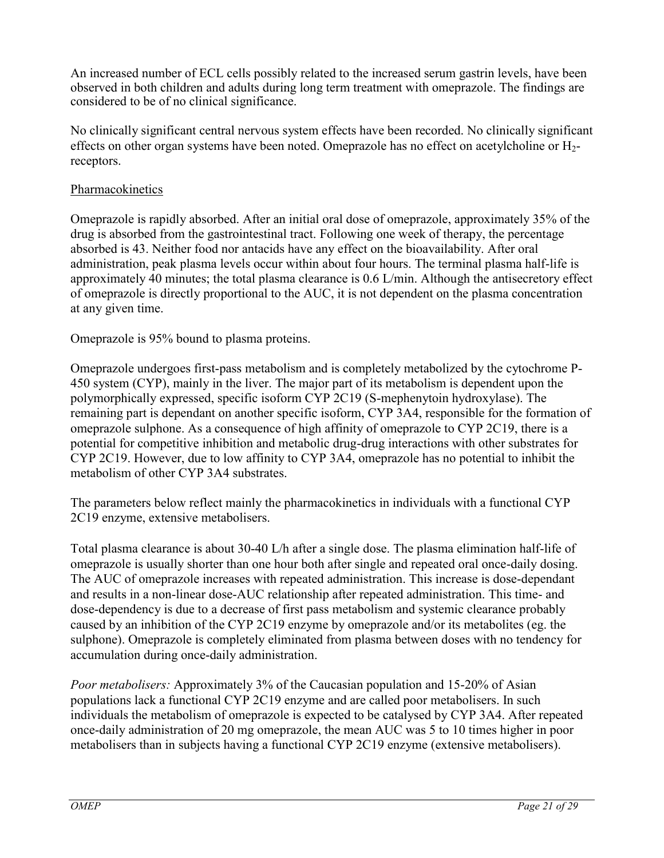An increased number of ECL cells possibly related to the increased serum gastrin levels, have been observed in both children and adults during long term treatment with omeprazole. The findings are considered to be of no clinical significance.

No clinically significant central nervous system effects have been recorded. No clinically significant effects on other organ systems have been noted. Omeprazole has no effect on acetylcholine or H<sub>2</sub>receptors.

## **Pharmacokinetics**

Omeprazole is rapidly absorbed. After an initial oral dose of omeprazole, approximately 35% of the drug is absorbed from the gastrointestinal tract. Following one week of therapy, the percentage absorbed is 43. Neither food nor antacids have any effect on the bioavailability. After oral administration, peak plasma levels occur within about four hours. The terminal plasma half-life is approximately 40 minutes; the total plasma clearance is 0.6 L/min. Although the antisecretory effect of omeprazole is directly proportional to the AUC, it is not dependent on the plasma concentration at any given time.

Omeprazole is 95% bound to plasma proteins.

Omeprazole undergoes first-pass metabolism and is completely metabolized by the cytochrome P-450 system (CYP), mainly in the liver. The major part of its metabolism is dependent upon the polymorphically expressed, specific isoform CYP 2C19 (S-mephenytoin hydroxylase). The remaining part is dependant on another specific isoform, CYP 3A4, responsible for the formation of omeprazole sulphone. As a consequence of high affinity of omeprazole to CYP 2C19, there is a potential for competitive inhibition and metabolic drug-drug interactions with other substrates for CYP 2C19. However, due to low affinity to CYP 3A4, omeprazole has no potential to inhibit the metabolism of other CYP 3A4 substrates.

The parameters below reflect mainly the pharmacokinetics in individuals with a functional CYP 2C19 enzyme, extensive metabolisers.

Total plasma clearance is about 30-40 L/h after a single dose. The plasma elimination half-life of omeprazole is usually shorter than one hour both after single and repeated oral once-daily dosing. The AUC of omeprazole increases with repeated administration. This increase is dose-dependant and results in a non-linear dose-AUC relationship after repeated administration. This time- and dose-dependency is due to a decrease of first pass metabolism and systemic clearance probably caused by an inhibition of the CYP 2C19 enzyme by omeprazole and/or its metabolites (eg. the sulphone). Omeprazole is completely eliminated from plasma between doses with no tendency for accumulation during once-daily administration.

*Poor metabolisers:* Approximately 3% of the Caucasian population and 15-20% of Asian populations lack a functional CYP 2C19 enzyme and are called poor metabolisers. In such individuals the metabolism of omeprazole is expected to be catalysed by CYP 3A4. After repeated once-daily administration of 20 mg omeprazole, the mean AUC was 5 to 10 times higher in poor metabolisers than in subjects having a functional CYP 2C19 enzyme (extensive metabolisers).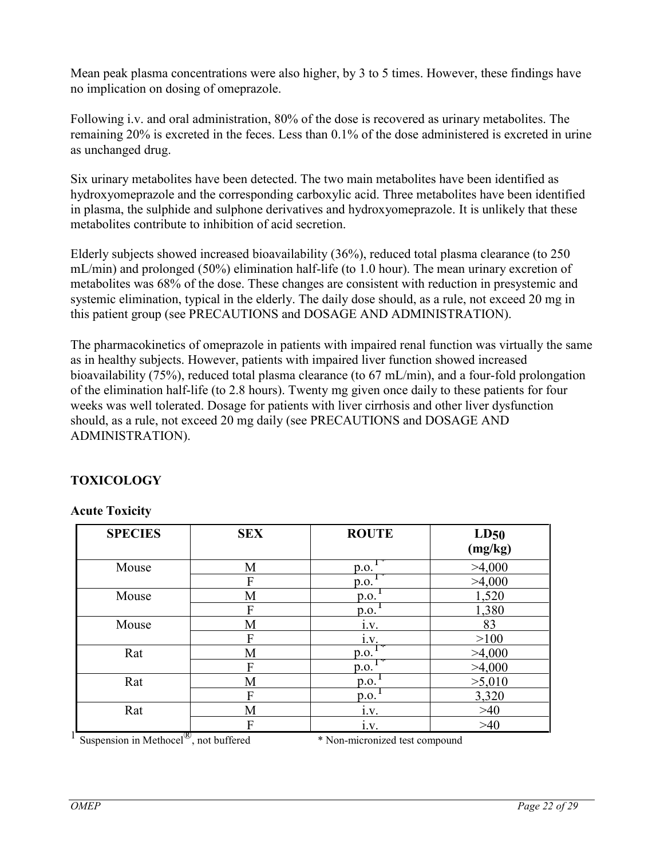Mean peak plasma concentrations were also higher, by 3 to 5 times. However, these findings have no implication on dosing of omeprazole.

Following i.v. and oral administration, 80% of the dose is recovered as urinary metabolites. The remaining 20% is excreted in the feces. Less than 0.1% of the dose administered is excreted in urine as unchanged drug.

Six urinary metabolites have been detected. The two main metabolites have been identified as hydroxyomeprazole and the corresponding carboxylic acid. Three metabolites have been identified in plasma, the sulphide and sulphone derivatives and hydroxyomeprazole. It is unlikely that these metabolites contribute to inhibition of acid secretion.

Elderly subjects showed increased bioavailability (36%), reduced total plasma clearance (to 250 mL/min) and prolonged (50%) elimination half-life (to 1.0 hour). The mean urinary excretion of metabolites was 68% of the dose. These changes are consistent with reduction in presystemic and systemic elimination, typical in the elderly. The daily dose should, as a rule, not exceed 20 mg in this patient group (see PRECAUTIONS and DOSAGE AND ADMINISTRATION).

The pharmacokinetics of omeprazole in patients with impaired renal function was virtually the same as in healthy subjects. However, patients with impaired liver function showed increased bioavailability (75%), reduced total plasma clearance (to 67 mL/min), and a four-fold prolongation of the elimination half-life (to 2.8 hours). Twenty mg given once daily to these patients for four weeks was well tolerated. Dosage for patients with liver cirrhosis and other liver dysfunction should, as a rule, not exceed 20 mg daily (see PRECAUTIONS and DOSAGE AND ADMINISTRATION).

# <span id="page-21-0"></span>**TOXICOLOGY**

## **Acute Toxicity**

| <b>SPECIES</b> | <b>SEX</b> | <b>ROUTE</b> | LD50<br>(mg/kg) |
|----------------|------------|--------------|-----------------|
| Mouse          | M          | p.o.         | >4,000          |
|                | F          | p.o.         | >4,000          |
| Mouse          | M          | p.o.         | 1,520           |
|                | F          | p.o.         | 1,380           |
| Mouse          | М          | i.v.         | 83              |
|                | F          | i.v.         | >100            |
| Rat            | М          | p.o.         | >4,000          |
|                | F          | p.o.         | >4,000          |
| Rat            | М          | p.o.         | >5,010          |
|                | F          | p.o.         | 3,320           |
| Rat            | M          | 1.V.         | $>40$           |
|                | F          | i.v.         | $>40$           |

1 Suspension in Methocel

®, not buffered \* Non-micronized test compound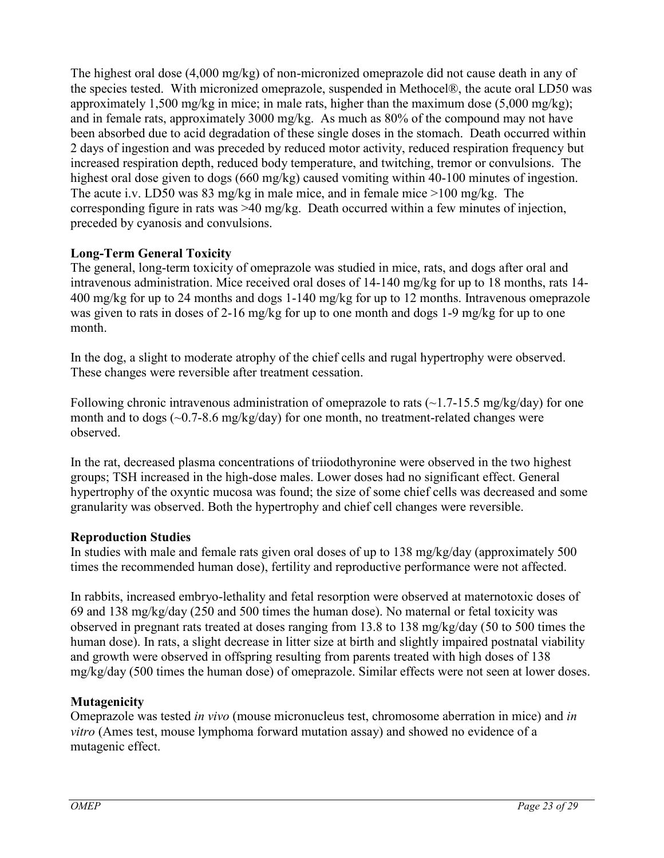The highest oral dose (4,000 mg/kg) of non-micronized omeprazole did not cause death in any of the species tested. With micronized omeprazole, suspended in Methocel®, the acute oral LD50 was approximately 1,500 mg/kg in mice; in male rats, higher than the maximum dose  $(5,000 \text{ mg/kg})$ ; and in female rats, approximately 3000 mg/kg. As much as 80% of the compound may not have been absorbed due to acid degradation of these single doses in the stomach. Death occurred within 2 days of ingestion and was preceded by reduced motor activity, reduced respiration frequency but increased respiration depth, reduced body temperature, and twitching, tremor or convulsions. The highest oral dose given to dogs (660 mg/kg) caused vomiting within 40-100 minutes of ingestion. The acute i.v. LD50 was 83 mg/kg in male mice, and in female mice >100 mg/kg. The corresponding figure in rats was >40 mg/kg. Death occurred within a few minutes of injection, preceded by cyanosis and convulsions.

# **Long-Term General Toxicity**

The general, long-term toxicity of omeprazole was studied in mice, rats, and dogs after oral and intravenous administration. Mice received oral doses of 14-140 mg/kg for up to 18 months, rats 14- 400 mg/kg for up to 24 months and dogs 1-140 mg/kg for up to 12 months. Intravenous omeprazole was given to rats in doses of 2-16 mg/kg for up to one month and dogs 1-9 mg/kg for up to one month.

In the dog, a slight to moderate atrophy of the chief cells and rugal hypertrophy were observed. These changes were reversible after treatment cessation.

Following chronic intravenous administration of omeprazole to rats  $\left(\sim\right]$  1.7-15.5 mg/kg/day) for one month and to dogs  $(\sim 0.7\text{-}8.6 \text{ mg/kg/day})$  for one month, no treatment-related changes were observed.

In the rat, decreased plasma concentrations of triiodothyronine were observed in the two highest groups; TSH increased in the high-dose males. Lower doses had no significant effect. General hypertrophy of the oxyntic mucosa was found; the size of some chief cells was decreased and some granularity was observed. Both the hypertrophy and chief cell changes were reversible.

## **Reproduction Studies**

In studies with male and female rats given oral doses of up to 138 mg/kg/day (approximately 500 times the recommended human dose), fertility and reproductive performance were not affected.

In rabbits, increased embryo-lethality and fetal resorption were observed at maternotoxic doses of 69 and 138 mg/kg/day (250 and 500 times the human dose). No maternal or fetal toxicity was observed in pregnant rats treated at doses ranging from 13.8 to 138 mg/kg/day (50 to 500 times the human dose). In rats, a slight decrease in litter size at birth and slightly impaired postnatal viability and growth were observed in offspring resulting from parents treated with high doses of 138 mg/kg/day (500 times the human dose) of omeprazole. Similar effects were not seen at lower doses.

## **Mutagenicity**

Omeprazole was tested *in vivo* (mouse micronucleus test, chromosome aberration in mice) and *in vitro* (Ames test, mouse lymphoma forward mutation assay) and showed no evidence of a mutagenic effect.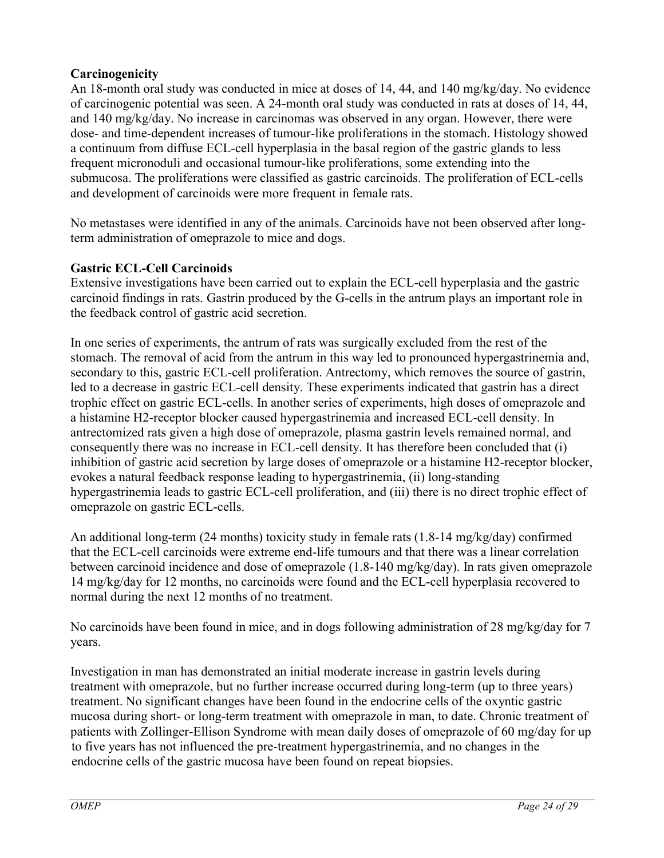## **Carcinogenicity**

An 18-month oral study was conducted in mice at doses of 14, 44, and 140 mg/kg/day. No evidence of carcinogenic potential was seen. A 24-month oral study was conducted in rats at doses of 14, 44, and 140 mg/kg/day. No increase in carcinomas was observed in any organ. However, there were dose- and time-dependent increases of tumour-like proliferations in the stomach. Histology showed a continuum from diffuse ECL-cell hyperplasia in the basal region of the gastric glands to less frequent micronoduli and occasional tumour-like proliferations, some extending into the submucosa. The proliferations were classified as gastric carcinoids. The proliferation of ECL-cells and development of carcinoids were more frequent in female rats.

No metastases were identified in any of the animals. Carcinoids have not been observed after longterm administration of omeprazole to mice and dogs.

# **Gastric ECL-Cell Carcinoids**

Extensive investigations have been carried out to explain the ECL-cell hyperplasia and the gastric carcinoid findings in rats. Gastrin produced by the G-cells in the antrum plays an important role in the feedback control of gastric acid secretion.

In one series of experiments, the antrum of rats was surgically excluded from the rest of the stomach. The removal of acid from the antrum in this way led to pronounced hypergastrinemia and, secondary to this, gastric ECL-cell proliferation. Antrectomy, which removes the source of gastrin, led to a decrease in gastric ECL-cell density. These experiments indicated that gastrin has a direct trophic effect on gastric ECL-cells. In another series of experiments, high doses of omeprazole and a histamine H2-receptor blocker caused hypergastrinemia and increased ECL-cell density. In antrectomized rats given a high dose of omeprazole, plasma gastrin levels remained normal, and consequently there was no increase in ECL-cell density. It has therefore been concluded that (i) inhibition of gastric acid secretion by large doses of omeprazole or a histamine H2-receptor blocker, evokes a natural feedback response leading to hypergastrinemia, (ii) long-standing hypergastrinemia leads to gastric ECL-cell proliferation, and (iii) there is no direct trophic effect of omeprazole on gastric ECL-cells.

An additional long-term (24 months) toxicity study in female rats (1.8-14 mg/kg/day) confirmed that the ECL-cell carcinoids were extreme end-life tumours and that there was a linear correlation between carcinoid incidence and dose of omeprazole (1.8-140 mg/kg/day). In rats given omeprazole 14 mg/kg/day for 12 months, no carcinoids were found and the ECL-cell hyperplasia recovered to normal during the next 12 months of no treatment.

No carcinoids have been found in mice, and in dogs following administration of 28 mg/kg/day for 7 years.

Investigation in man has demonstrated an initial moderate increase in gastrin levels during treatment with omeprazole, but no further increase occurred during long-term (up to three years) treatment. No significant changes have been found in the endocrine cells of the oxyntic gastric mucosa during short- or long-term treatment with omeprazole in man, to date. Chronic treatment of patients with Zollinger-Ellison Syndrome with mean daily doses of omeprazole of 60 mg/day for up to five years has not influenced the pre-treatment hypergastrinemia, and no changes in the endocrine cells of the gastric mucosa have been found on repeat biopsies.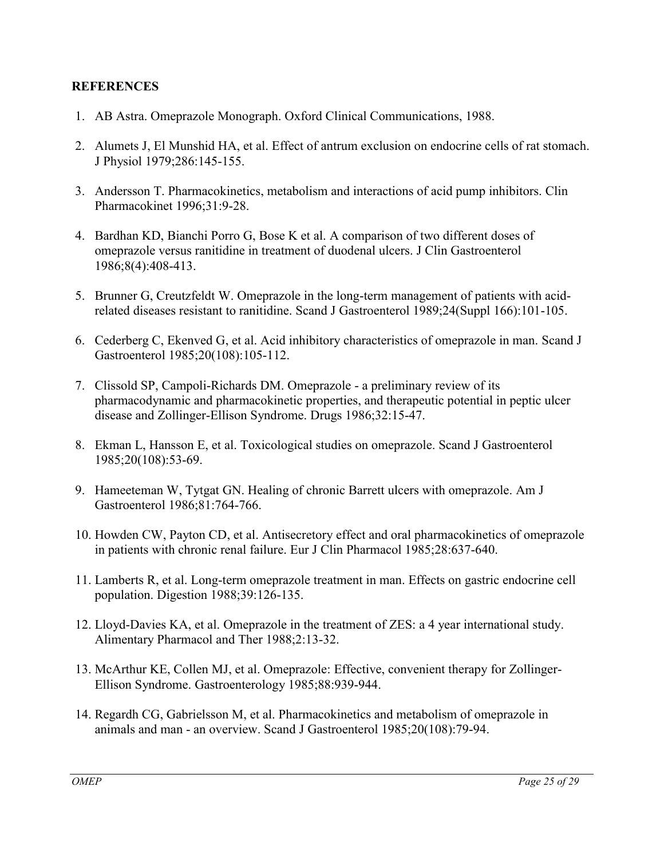## <span id="page-24-0"></span>**REFERENCES**

- 1. AB Astra. Omeprazole Monograph. Oxford Clinical Communications, 1988.
- 2. Alumets J, El Munshid HA, et al. Effect of antrum exclusion on endocrine cells of rat stomach. J Physiol 1979;286:145-155.
- 3. Andersson T. Pharmacokinetics, metabolism and interactions of acid pump inhibitors. Clin Pharmacokinet 1996;31:9-28.
- 4. Bardhan KD, Bianchi Porro G, Bose K et al. A comparison of two different doses of omeprazole versus ranitidine in treatment of duodenal ulcers. J Clin Gastroenterol 1986;8(4):408-413.
- 5. Brunner G, Creutzfeldt W. Omeprazole in the long-term management of patients with acidrelated diseases resistant to ranitidine. Scand J Gastroenterol 1989;24(Suppl 166):101-105.
- 6. Cederberg C, Ekenved G, et al. Acid inhibitory characteristics of omeprazole in man. Scand J Gastroenterol 1985;20(108):105-112.
- 7. Clissold SP, Campoli-Richards DM. Omeprazole a preliminary review of its pharmacodynamic and pharmacokinetic properties, and therapeutic potential in peptic ulcer disease and Zollinger-Ellison Syndrome. Drugs 1986;32:15-47.
- 8. Ekman L, Hansson E, et al. Toxicological studies on omeprazole. Scand J Gastroenterol 1985;20(108):53-69.
- 9. Hameeteman W, Tytgat GN. Healing of chronic Barrett ulcers with omeprazole. Am J Gastroenterol 1986;81:764-766.
- 10. Howden CW, Payton CD, et al. Antisecretory effect and oral pharmacokinetics of omeprazole in patients with chronic renal failure. Eur J Clin Pharmacol 1985;28:637-640.
- 11. Lamberts R, et al. Long-term omeprazole treatment in man. Effects on gastric endocrine cell population. Digestion 1988;39:126-135.
- 12. Lloyd-Davies KA, et al. Omeprazole in the treatment of ZES: a 4 year international study. Alimentary Pharmacol and Ther 1988;2:13-32.
- 13. McArthur KE, Collen MJ, et al. Omeprazole: Effective, convenient therapy for Zollinger-Ellison Syndrome. Gastroenterology 1985;88:939-944.
- 14. Regardh CG, Gabrielsson M, et al. Pharmacokinetics and metabolism of omeprazole in animals and man - an overview. Scand J Gastroenterol 1985;20(108):79-94.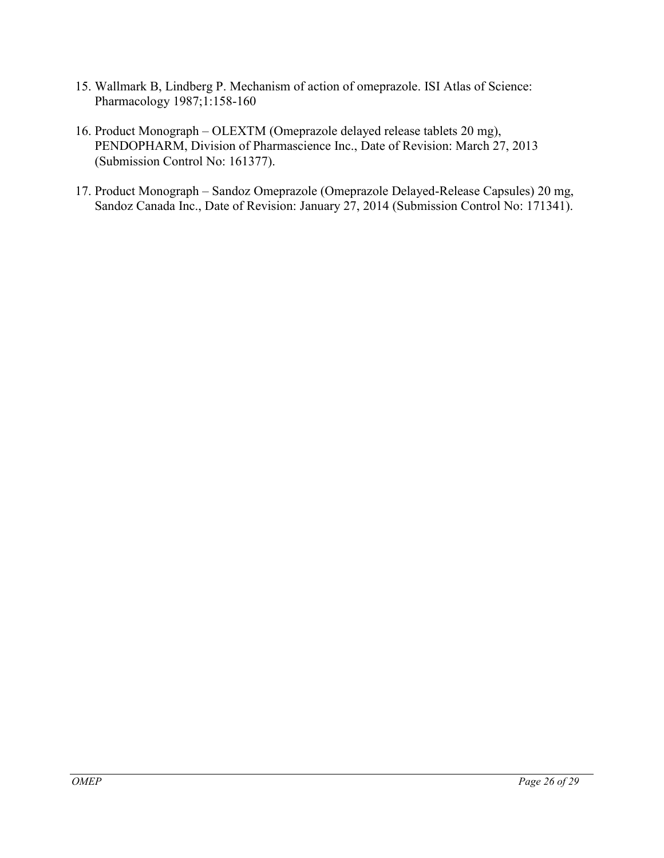- 15. Wallmark B, Lindberg P. Mechanism of action of omeprazole. ISI Atlas of Science: Pharmacology 1987;1:158-160
- 16. Product Monograph OLEXTM (Omeprazole delayed release tablets 20 mg), PENDOPHARM, Division of Pharmascience Inc., Date of Revision: March 27, 2013 (Submission Control No: 161377).
- 17. Product Monograph Sandoz Omeprazole (Omeprazole Delayed-Release Capsules) 20 mg, Sandoz Canada Inc., Date of Revision: January 27, 2014 (Submission Control No: 171341).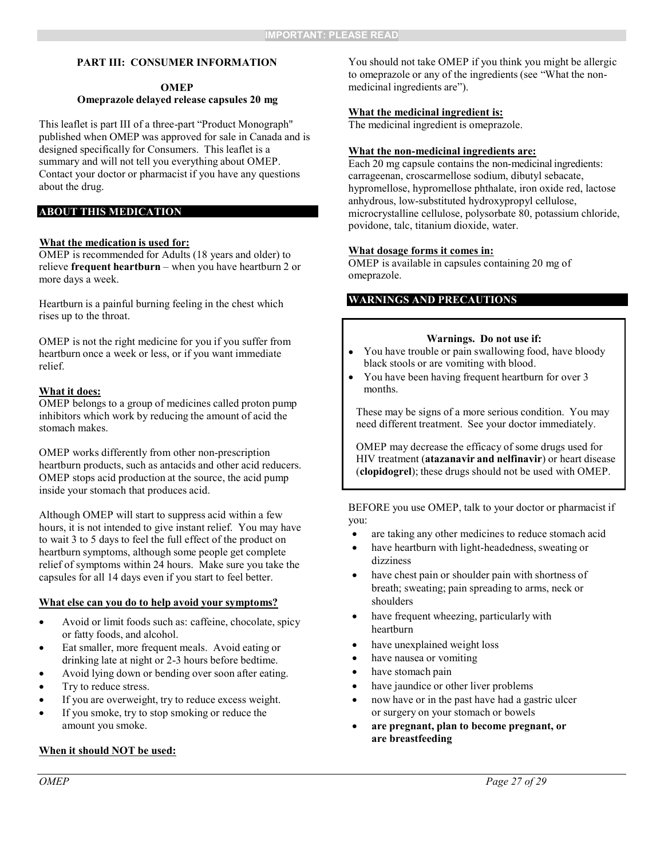#### <span id="page-26-0"></span>**PART III: CONSUMER INFORMATION**

#### **OMEP Omeprazole delayed release capsules 20 mg**

This leaflet is part III of a three-part "Product Monograph" published when OMEP was approved for sale in Canada and is designed specifically for Consumers. This leaflet is a summary and will not tell you everything about OMEP. Contact your doctor or pharmacist if you have any questions about the drug.

#### **ABOUT THIS MEDICATION**

#### **What the medication is used for:**

OMEP is recommended for Adults (18 years and older) to relieve **frequent heartburn** – when you have heartburn 2 or more days a week.

Heartburn is a painful burning feeling in the chest which rises up to the throat.

OMEP is not the right medicine for you if you suffer from heartburn once a week or less, or if you want immediate relief.

#### **What it does:**

OMEP belongs to a group of medicines called proton pump inhibitors which work by reducing the amount of acid the stomach makes.

OMEP works differently from other non-prescription heartburn products, such as antacids and other acid reducers. OMEP stops acid production at the source, the acid pump inside your stomach that produces acid.

Although OMEP will start to suppress acid within a few hours, it is not intended to give instant relief. You may have to wait 3 to 5 days to feel the full effect of the product on heartburn symptoms, although some people get complete relief of symptoms within 24 hours. Make sure you take the capsules for all 14 days even if you start to feel better.

#### **What else can you do to help avoid your symptoms?**

- Avoid or limit foods such as: caffeine, chocolate, spicy or fatty foods, and alcohol.
- Eat smaller, more frequent meals. Avoid eating or drinking late at night or 2-3 hours before bedtime.
- Avoid lying down or bending over soon after eating.
- Try to reduce stress.
- If you are overweight, try to reduce excess weight.
- If you smoke, try to stop smoking or reduce the amount you smoke.

#### **When it should NOT be used:**

You should not take OMEP if you think you might be allergic to omeprazole or any of the ingredients (see "What the nonmedicinal ingredients are").

#### **What the medicinal ingredient is:**

The medicinal ingredient is omeprazole.

#### **What the non-medicinal ingredients are:**

Each 20 mg capsule contains the non-medicinal ingredients: carrageenan, croscarmellose sodium, dibutyl sebacate, hypromellose, hypromellose phthalate, iron oxide red, lactose anhydrous, low-substituted hydroxypropyl cellulose, microcrystalline cellulose, polysorbate 80, potassium chloride, povidone, talc, titanium dioxide, water.

#### **What dosage forms it comes in:**

OMEP is available in capsules containing 20 mg of omeprazole.

#### **WARNINGS AND PRECAUTIONS**

#### **Warnings. Do not use if:**

- You have trouble or pain swallowing food, have bloody black stools or are vomiting with blood.
- You have been having frequent heartburn for over 3 months.

These may be signs of a more serious condition. You may need different treatment. See your doctor immediately.

OMEP may decrease the efficacy of some drugs used for HIV treatment (**atazanavir and nelfinavir**) or heart disease (**clopidogrel**); these drugs should not be used with OMEP.

BEFORE you use OMEP, talk to your doctor or pharmacist if you:

- are taking any other medicines to reduce stomach acid
- have heartburn with light-headedness, sweating or dizziness
- have chest pain or shoulder pain with shortness of breath; sweating; pain spreading to arms, neck or shoulders
- have frequent wheezing, particularly with heartburn
- have unexplained weight loss
- have nausea or vomiting
- have stomach pain
- have jaundice or other liver problems
- now have or in the past have had a gastric ulcer or surgery on your stomach or bowels
- **are pregnant, plan to become pregnant, or are breastfeeding**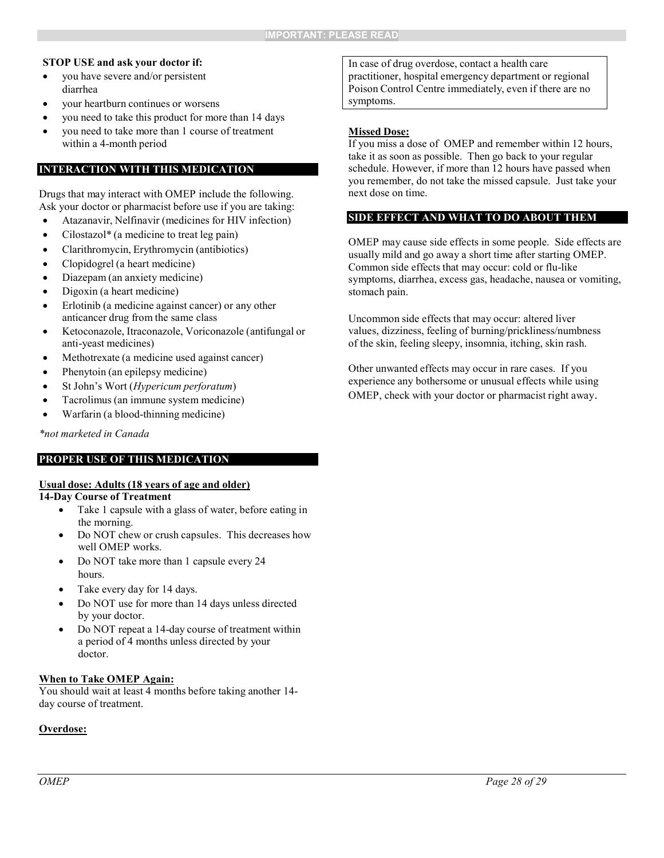#### **STOP USE and ask your doctor if:**

- you have severe and/or persistent diarrhea
- your heartburn continues or worsens
- you need to take this product for more than 14 days
- you need to take more than 1 course of treatment within a 4-month period

#### **INTERACTION WITH THIS MEDICATION**

Drugs that may interact with OMEP include the following. Ask your doctor or pharmacist before use if you are taking:

- Atazanavir, Nelfinavir (medicines for HIV infection)
- Cilostazol\* (a medicine to treat leg pain)
- Clarithromycin, Erythromycin (antibiotics)
- Clopidogrel (a heart medicine)
- Diazepam (an anxiety medicine)
- Digoxin (a heart medicine)
- Erlotinib (a medicine against cancer) or any other anticancer drug from the same class
- Ketoconazole, Itraconazole, Voriconazole (antifungal or anti-yeast medicines)
- Methotrexate (a medicine used against cancer)
- Phenytoin (an epilepsy medicine)
- St John's Wort (*Hypericum perforatum*)
- Tacrolimus (an immune system medicine)
- Warfarin (a blood-thinning medicine)

*\*not marketed in Canada*

#### **PROPER USE OF THIS MEDICATION**

#### **Usual dose: Adults (18 years of age and older)**

#### **14-Day Course of Treatment**

- Take 1 capsule with a glass of water, before eating in the morning.
- Do NOT chew or crush capsules. This decreases how well OMEP works.
- Do NOT take more than 1 capsule every 24 hours.
- Take every day for 14 days.
- Do NOT use for more than 14 days unless directed by your doctor.
- Do NOT repeat a 14-day course of treatment within a period of 4 months unless directed by your doctor.

#### **When to Take OMEP Again:**

You should wait at least 4 months before taking another 14 day course of treatment.

#### **Overdose:**

In case of drug overdose, contact a health care practitioner, hospital emergency department or regional Poison Control Centre immediately, even if there are no symptoms.

#### **Missed Dose:**

If you miss a dose of OMEP and remember within 12 hours, take it as soon as possible. Then go back to your regular schedule. However, if more than 12 hours have passed when you remember, do not take the missed capsule. Just take your next dose on time.

#### **SIDE EFFECT AND WHAT TO DO ABOUT THEM**

OMEP may cause side effects in some people. Side effects are usually mild and go away a short time after starting OMEP. Common side effects that may occur: cold or flu-like symptoms, diarrhea, excess gas, headache, nausea or vomiting, stomach pain.

Uncommon side effects that may occur: altered liver values, dizziness, feeling of burning/prickliness/numbness of the skin, feeling sleepy, insomnia, itching, skin rash.

Other unwanted effects may occur in rare cases. If you experience any bothersome or unusual effects while using OMEP, check with your doctor or pharmacist right away.